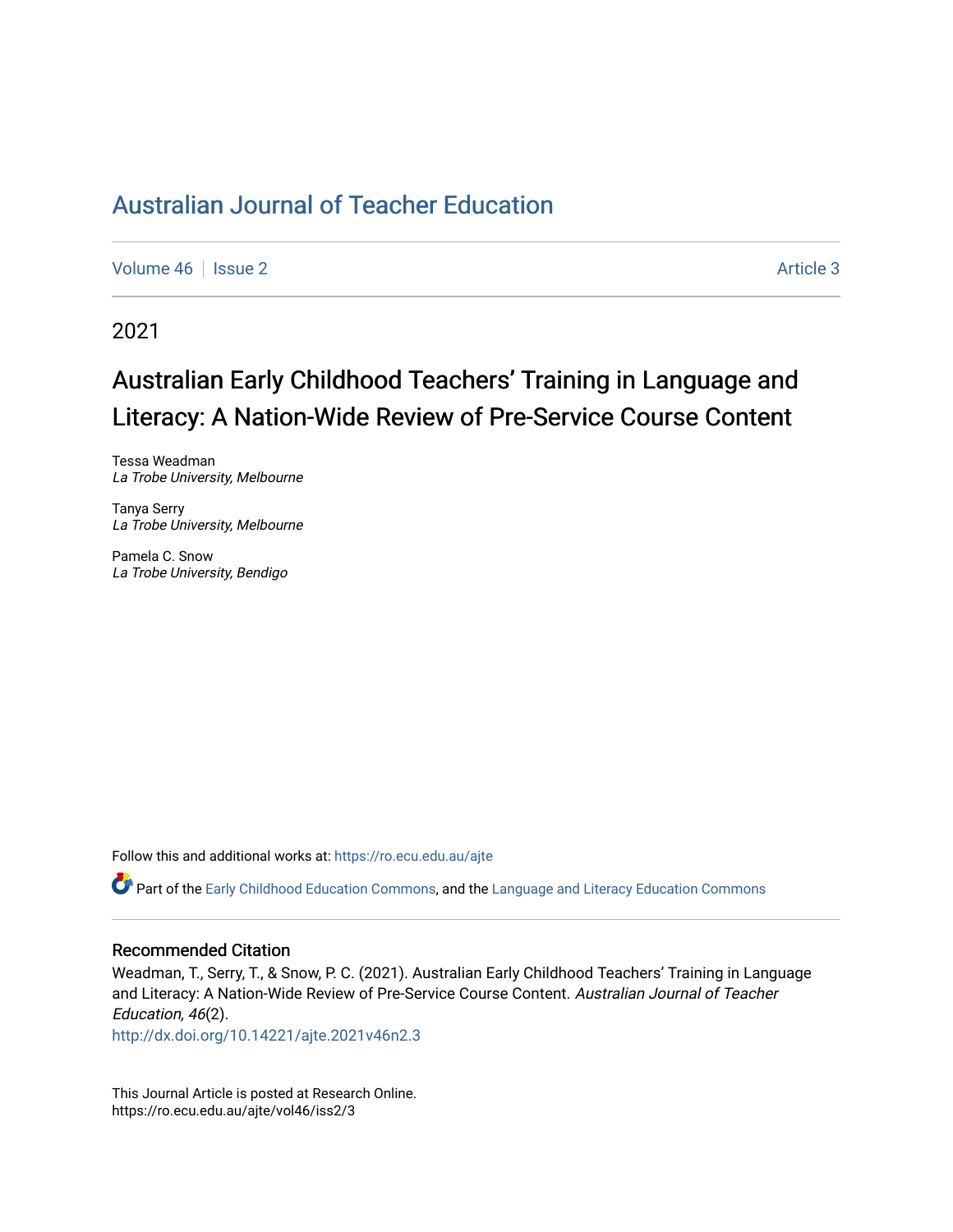[Volume 46](https://ro.ecu.edu.au/ajte/vol46) | [Issue 2](https://ro.ecu.edu.au/ajte/vol46/iss2) Article 3

2021

# Australian Early Childhood Teachers' Training in Language and Literacy: A Nation-Wide Review of Pre-Service Course Content

Tessa Weadman La Trobe University, Melbourne

Tanya Serry La Trobe University, Melbourne

Pamela C. Snow La Trobe University, Bendigo

Follow this and additional works at: [https://ro.ecu.edu.au/ajte](https://ro.ecu.edu.au/ajte?utm_source=ro.ecu.edu.au%2Fajte%2Fvol46%2Fiss2%2F3&utm_medium=PDF&utm_campaign=PDFCoverPages) 

Part of the [Early Childhood Education Commons](http://network.bepress.com/hgg/discipline/1377?utm_source=ro.ecu.edu.au%2Fajte%2Fvol46%2Fiss2%2F3&utm_medium=PDF&utm_campaign=PDFCoverPages), and the [Language and Literacy Education Commons](http://network.bepress.com/hgg/discipline/1380?utm_source=ro.ecu.edu.au%2Fajte%2Fvol46%2Fiss2%2F3&utm_medium=PDF&utm_campaign=PDFCoverPages)

#### Recommended Citation

Weadman, T., Serry, T., & Snow, P. C. (2021). Australian Early Childhood Teachers' Training in Language and Literacy: A Nation-Wide Review of Pre-Service Course Content. Australian Journal of Teacher Education, 46(2).

<http://dx.doi.org/10.14221/ajte.2021v46n2.3>

This Journal Article is posted at Research Online. https://ro.ecu.edu.au/ajte/vol46/iss2/3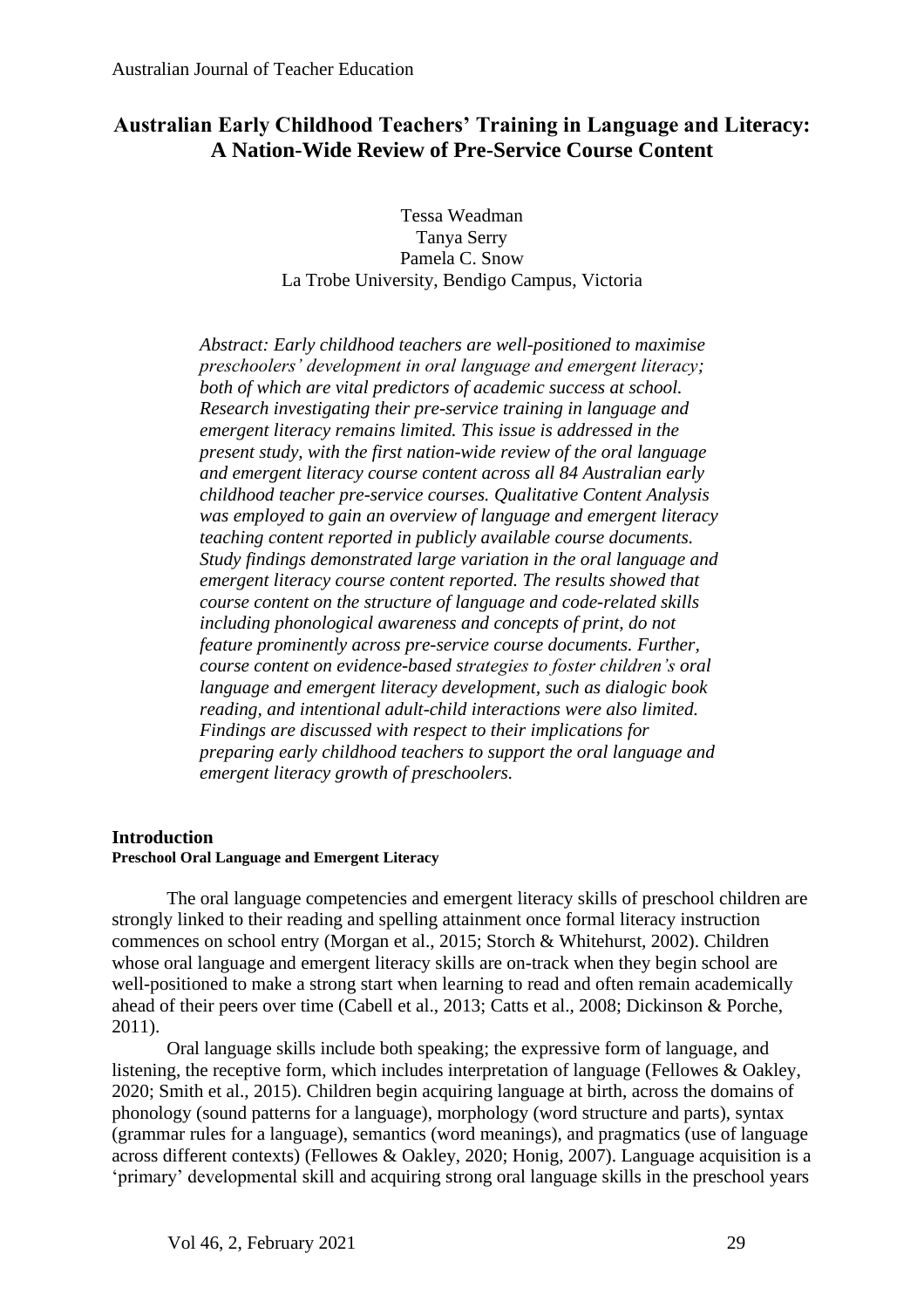## **Australian Early Childhood Teachers' Training in Language and Literacy: A Nation-Wide Review of Pre-Service Course Content**

Tessa Weadman Tanya Serry Pamela C. Snow La Trobe University, Bendigo Campus, Victoria

*Abstract: Early childhood teachers are well-positioned to maximise preschoolers' development in oral language and emergent literacy; both of which are vital predictors of academic success at school. Research investigating their pre-service training in language and emergent literacy remains limited. This issue is addressed in the present study, with the first nation-wide review of the oral language and emergent literacy course content across all 84 Australian early childhood teacher pre-service courses. Qualitative Content Analysis was employed to gain an overview of language and emergent literacy teaching content reported in publicly available course documents. Study findings demonstrated large variation in the oral language and emergent literacy course content reported. The results showed that course content on the structure of language and code-related skills including phonological awareness and concepts of print, do not feature prominently across pre-service course documents. Further, course content on evidence-based strategies to foster children's oral language and emergent literacy development, such as dialogic book reading, and intentional adult-child interactions were also limited. Findings are discussed with respect to their implications for preparing early childhood teachers to support the oral language and emergent literacy growth of preschoolers.*

## **Introduction**

## **Preschool Oral Language and Emergent Literacy**

The oral language competencies and emergent literacy skills of preschool children are strongly linked to their reading and spelling attainment once formal literacy instruction commences on school entry (Morgan et al., 2015; Storch & Whitehurst, 2002). Children whose oral language and emergent literacy skills are on-track when they begin school are well-positioned to make a strong start when learning to read and often remain academically ahead of their peers over time (Cabell et al., 2013; Catts et al., 2008; Dickinson & Porche, 2011).

Oral language skills include both speaking; the expressive form of language, and listening, the receptive form, which includes interpretation of language (Fellowes & Oakley, 2020; Smith et al., 2015). Children begin acquiring language at birth, across the domains of phonology (sound patterns for a language), morphology (word structure and parts), syntax (grammar rules for a language), semantics (word meanings), and pragmatics (use of language across different contexts) (Fellowes & Oakley, 2020; Honig, 2007). Language acquisition is a 'primary' developmental skill and acquiring strong oral language skills in the preschool years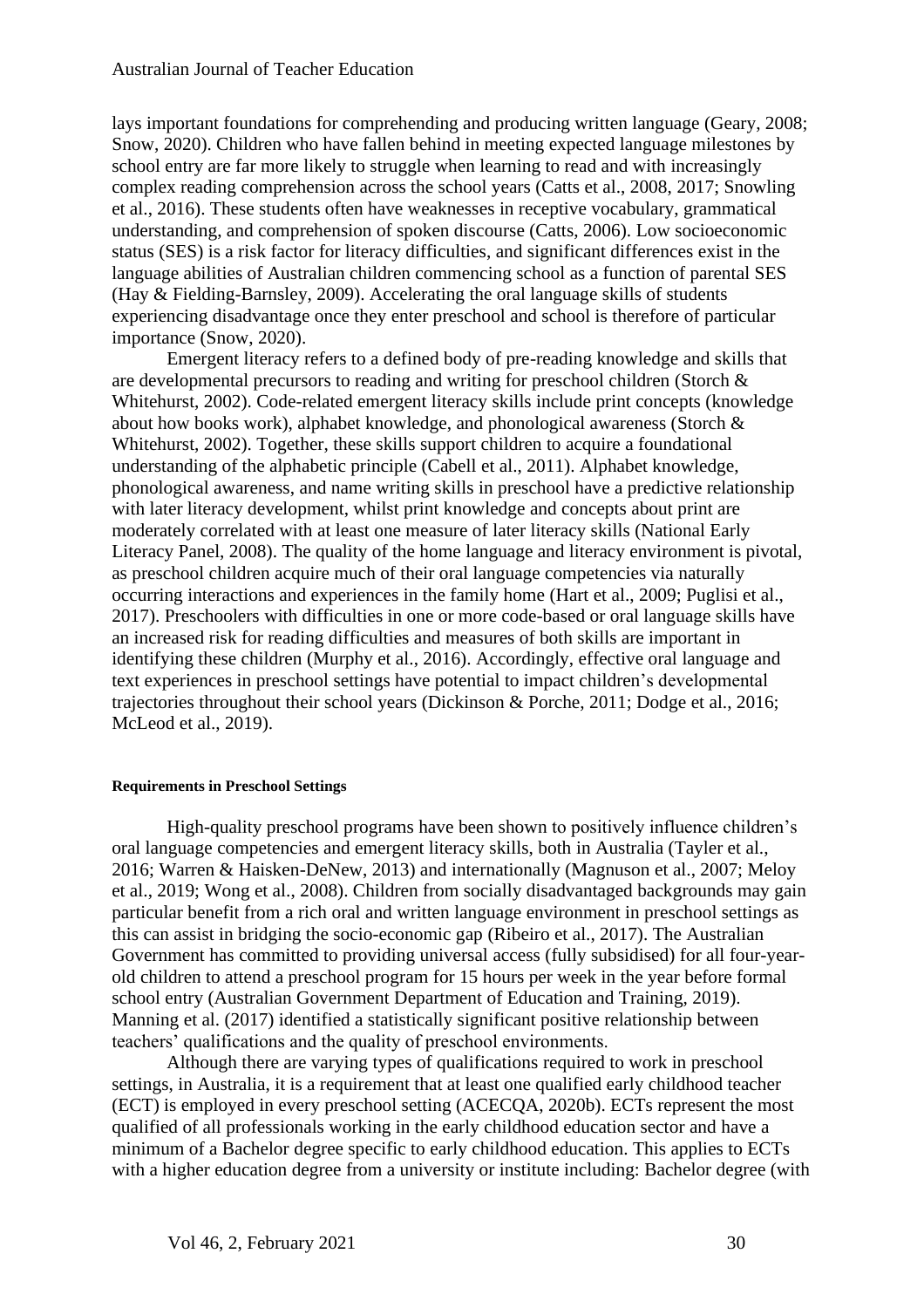lays important foundations for comprehending and producing written language (Geary, 2008; Snow, 2020). Children who have fallen behind in meeting expected language milestones by school entry are far more likely to struggle when learning to read and with increasingly complex reading comprehension across the school years (Catts et al., 2008, 2017; Snowling et al., 2016). These students often have weaknesses in receptive vocabulary, grammatical understanding, and comprehension of spoken discourse (Catts, 2006). Low socioeconomic status (SES) is a risk factor for literacy difficulties, and significant differences exist in the language abilities of Australian children commencing school as a function of parental SES (Hay & Fielding-Barnsley, 2009). Accelerating the oral language skills of students experiencing disadvantage once they enter preschool and school is therefore of particular importance (Snow, 2020).

Emergent literacy refers to a defined body of pre-reading knowledge and skills that are developmental precursors to reading and writing for preschool children (Storch & Whitehurst, 2002). Code-related emergent literacy skills include print concepts (knowledge about how books work), alphabet knowledge, and phonological awareness (Storch & Whitehurst, 2002). Together, these skills support children to acquire a foundational understanding of the alphabetic principle (Cabell et al., 2011). Alphabet knowledge, phonological awareness, and name writing skills in preschool have a predictive relationship with later literacy development, whilst print knowledge and concepts about print are moderately correlated with at least one measure of later literacy skills (National Early Literacy Panel, 2008). The quality of the home language and literacy environment is pivotal, as preschool children acquire much of their oral language competencies via naturally occurring interactions and experiences in the family home (Hart et al., 2009; Puglisi et al., 2017). Preschoolers with difficulties in one or more code-based or oral language skills have an increased risk for reading difficulties and measures of both skills are important in identifying these children (Murphy et al., 2016). Accordingly, effective oral language and text experiences in preschool settings have potential to impact children's developmental trajectories throughout their school years (Dickinson & Porche, 2011; Dodge et al., 2016; McLeod et al., 2019).

## **Requirements in Preschool Settings**

High-quality preschool programs have been shown to positively influence children's oral language competencies and emergent literacy skills, both in Australia (Tayler et al., 2016; Warren & Haisken-DeNew, 2013) and internationally (Magnuson et al., 2007; Meloy et al., 2019; Wong et al., 2008). Children from socially disadvantaged backgrounds may gain particular benefit from a rich oral and written language environment in preschool settings as this can assist in bridging the socio-economic gap (Ribeiro et al., 2017). The Australian Government has committed to providing universal access (fully subsidised) for all four-yearold children to attend a preschool program for 15 hours per week in the year before formal school entry (Australian Government Department of Education and Training, 2019). Manning et al. (2017) identified a statistically significant positive relationship between teachers' qualifications and the quality of preschool environments.

Although there are varying types of qualifications required to work in preschool settings, in Australia, it is a requirement that at least one qualified early childhood teacher (ECT) is employed in every preschool setting (ACECQA, 2020b). ECTs represent the most qualified of all professionals working in the early childhood education sector and have a minimum of a Bachelor degree specific to early childhood education. This applies to ECTs with a higher education degree from a university or institute including: Bachelor degree (with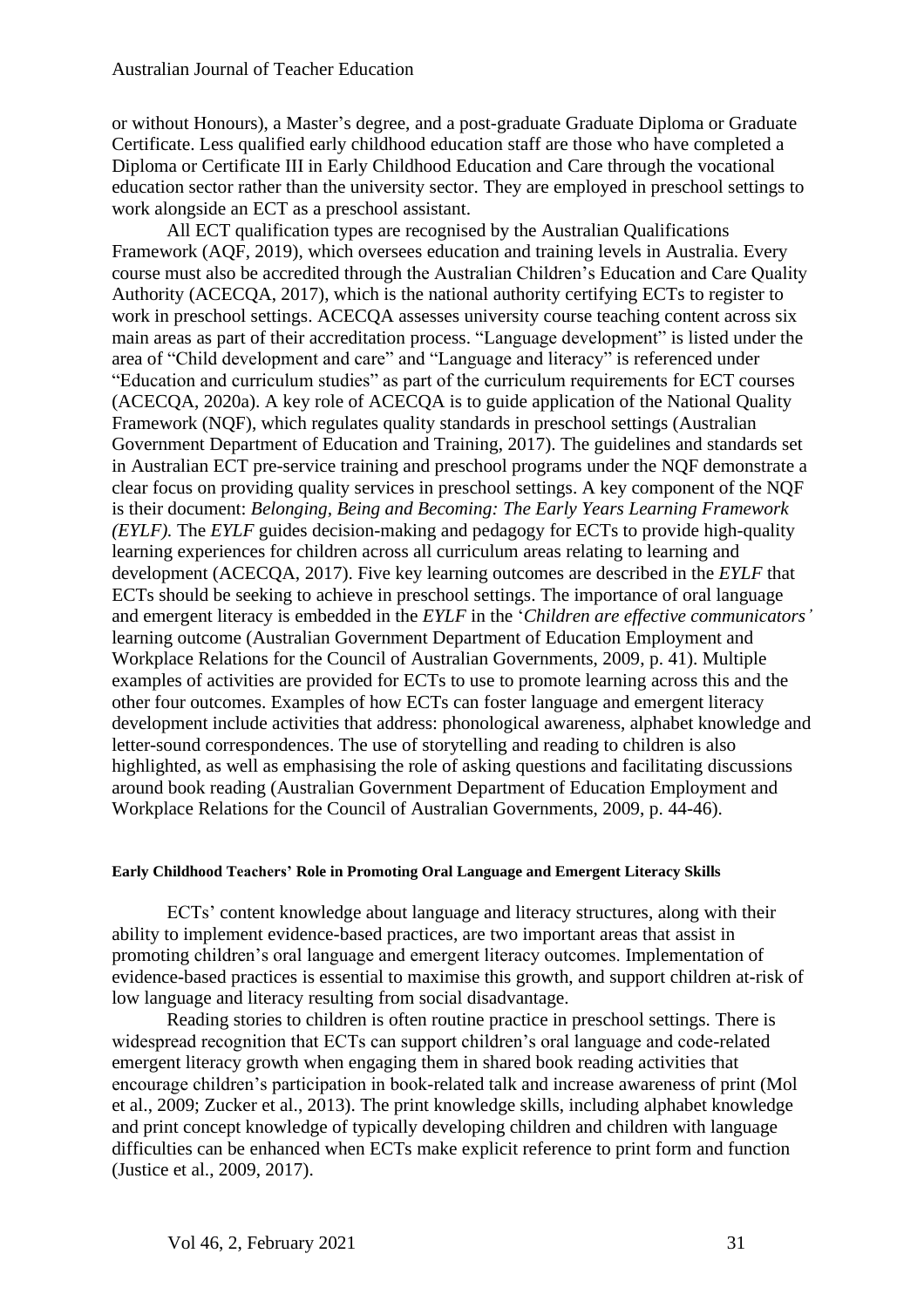or without Honours), a Master's degree, and a post-graduate Graduate Diploma or Graduate Certificate. Less qualified early childhood education staff are those who have completed a Diploma or Certificate III in Early Childhood Education and Care through the vocational education sector rather than the university sector. They are employed in preschool settings to work alongside an ECT as a preschool assistant.

All ECT qualification types are recognised by the Australian Qualifications Framework (AQF, 2019), which oversees education and training levels in Australia. Every course must also be accredited through the Australian Children's Education and Care Quality Authority (ACECQA, 2017), which is the national authority certifying ECTs to register to work in preschool settings. ACECQA assesses university course teaching content across six main areas as part of their accreditation process. "Language development" is listed under the area of "Child development and care" and "Language and literacy" is referenced under "Education and curriculum studies" as part of the curriculum requirements for ECT courses (ACECQA, 2020a). A key role of ACECQA is to guide application of the National Quality Framework (NQF), which regulates quality standards in preschool settings (Australian Government Department of Education and Training, 2017). The guidelines and standards set in Australian ECT pre-service training and preschool programs under the NQF demonstrate a clear focus on providing quality services in preschool settings. A key component of the NQF is their document: *Belonging, Being and Becoming: The Early Years Learning Framework (EYLF).* The *EYLF* guides decision-making and pedagogy for ECTs to provide high-quality learning experiences for children across all curriculum areas relating to learning and development (ACECQA, 2017). Five key learning outcomes are described in the *EYLF* that ECTs should be seeking to achieve in preschool settings. The importance of oral language and emergent literacy is embedded in the *EYLF* in the '*Children are effective communicators'* learning outcome (Australian Government Department of Education Employment and Workplace Relations for the Council of Australian Governments, 2009, p. 41). Multiple examples of activities are provided for ECTs to use to promote learning across this and the other four outcomes. Examples of how ECTs can foster language and emergent literacy development include activities that address: phonological awareness, alphabet knowledge and letter-sound correspondences. The use of storytelling and reading to children is also highlighted, as well as emphasising the role of asking questions and facilitating discussions around book reading (Australian Government Department of Education Employment and Workplace Relations for the Council of Australian Governments, 2009, p. 44-46).

## **Early Childhood Teachers' Role in Promoting Oral Language and Emergent Literacy Skills**

ECTs' content knowledge about language and literacy structures, along with their ability to implement evidence-based practices, are two important areas that assist in promoting children's oral language and emergent literacy outcomes. Implementation of evidence-based practices is essential to maximise this growth, and support children at-risk of low language and literacy resulting from social disadvantage.

Reading stories to children is often routine practice in preschool settings. There is widespread recognition that ECTs can support children's oral language and code-related emergent literacy growth when engaging them in shared book reading activities that encourage children's participation in book-related talk and increase awareness of print (Mol et al., 2009; Zucker et al., 2013). The print knowledge skills, including alphabet knowledge and print concept knowledge of typically developing children and children with language difficulties can be enhanced when ECTs make explicit reference to print form and function (Justice et al., 2009, 2017).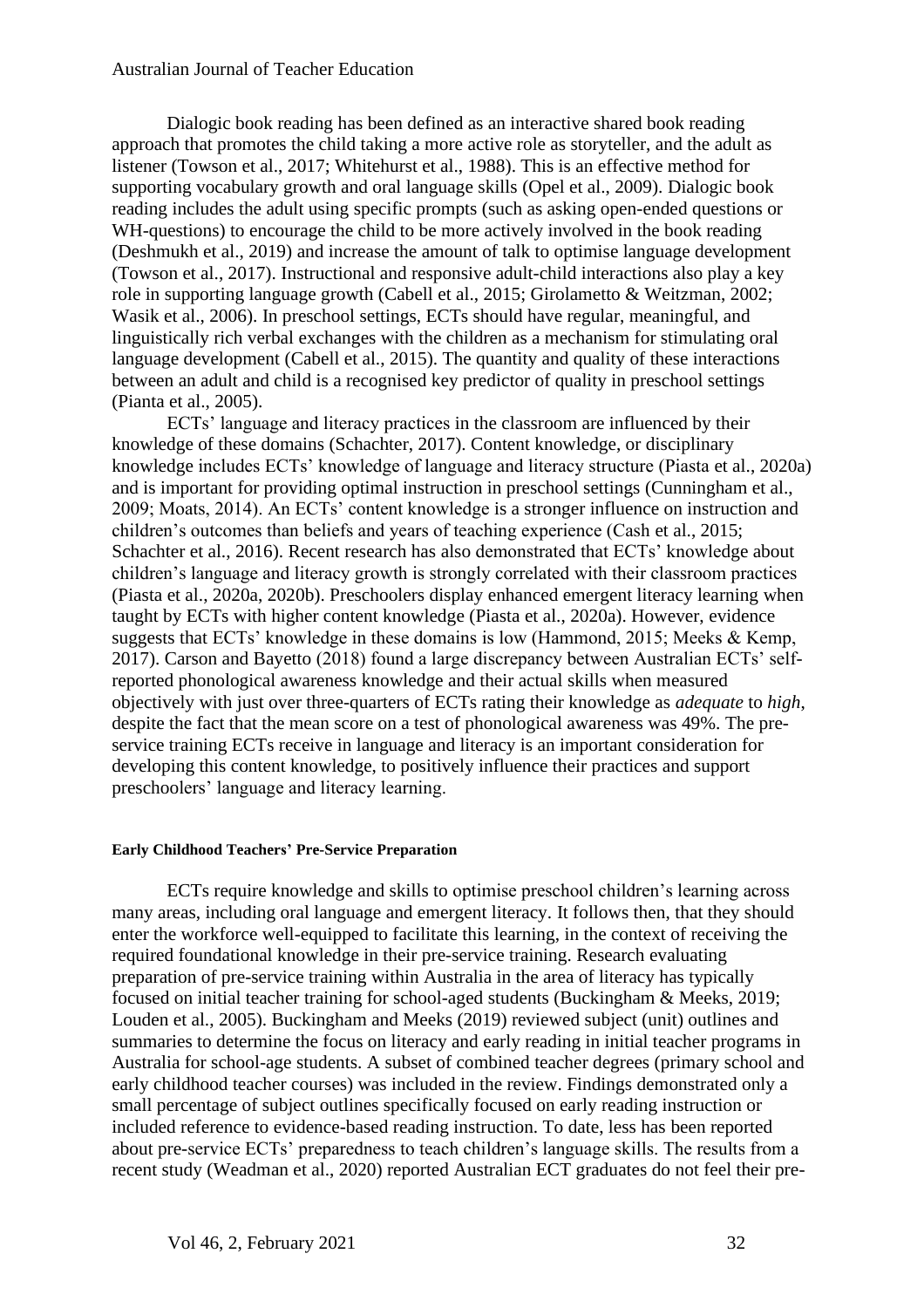Dialogic book reading has been defined as an interactive shared book reading approach that promotes the child taking a more active role as storyteller, and the adult as listener (Towson et al., 2017; Whitehurst et al., 1988). This is an effective method for supporting vocabulary growth and oral language skills (Opel et al., 2009). Dialogic book reading includes the adult using specific prompts (such as asking open-ended questions or WH-questions) to encourage the child to be more actively involved in the book reading (Deshmukh et al., 2019) and increase the amount of talk to optimise language development (Towson et al., 2017). Instructional and responsive adult-child interactions also play a key role in supporting language growth (Cabell et al., 2015; Girolametto & Weitzman, 2002; Wasik et al., 2006). In preschool settings, ECTs should have regular, meaningful, and linguistically rich verbal exchanges with the children as a mechanism for stimulating oral language development (Cabell et al., 2015). The quantity and quality of these interactions between an adult and child is a recognised key predictor of quality in preschool settings (Pianta et al., 2005).

ECTs' language and literacy practices in the classroom are influenced by their knowledge of these domains (Schachter, 2017). Content knowledge, or disciplinary knowledge includes ECTs' knowledge of language and literacy structure (Piasta et al., 2020a) and is important for providing optimal instruction in preschool settings (Cunningham et al., 2009; Moats, 2014). An ECTs' content knowledge is a stronger influence on instruction and children's outcomes than beliefs and years of teaching experience (Cash et al., 2015; Schachter et al., 2016). Recent research has also demonstrated that ECTs' knowledge about children's language and literacy growth is strongly correlated with their classroom practices (Piasta et al., 2020a, 2020b). Preschoolers display enhanced emergent literacy learning when taught by ECTs with higher content knowledge (Piasta et al., 2020a). However, evidence suggests that ECTs' knowledge in these domains is low (Hammond, 2015; Meeks & Kemp, 2017). Carson and Bayetto (2018) found a large discrepancy between Australian ECTs' selfreported phonological awareness knowledge and their actual skills when measured objectively with just over three-quarters of ECTs rating their knowledge as *adequate* to *high*, despite the fact that the mean score on a test of phonological awareness was 49%. The preservice training ECTs receive in language and literacy is an important consideration for developing this content knowledge, to positively influence their practices and support preschoolers' language and literacy learning.

## **Early Childhood Teachers' Pre-Service Preparation**

ECTs require knowledge and skills to optimise preschool children's learning across many areas, including oral language and emergent literacy. It follows then, that they should enter the workforce well-equipped to facilitate this learning, in the context of receiving the required foundational knowledge in their pre-service training. Research evaluating preparation of pre-service training within Australia in the area of literacy has typically focused on initial teacher training for school-aged students (Buckingham & Meeks, 2019; Louden et al., 2005). Buckingham and Meeks (2019) reviewed subject (unit) outlines and summaries to determine the focus on literacy and early reading in initial teacher programs in Australia for school-age students. A subset of combined teacher degrees (primary school and early childhood teacher courses) was included in the review. Findings demonstrated only a small percentage of subject outlines specifically focused on early reading instruction or included reference to evidence-based reading instruction. To date, less has been reported about pre-service ECTs' preparedness to teach children's language skills. The results from a recent study (Weadman et al., 2020) reported Australian ECT graduates do not feel their pre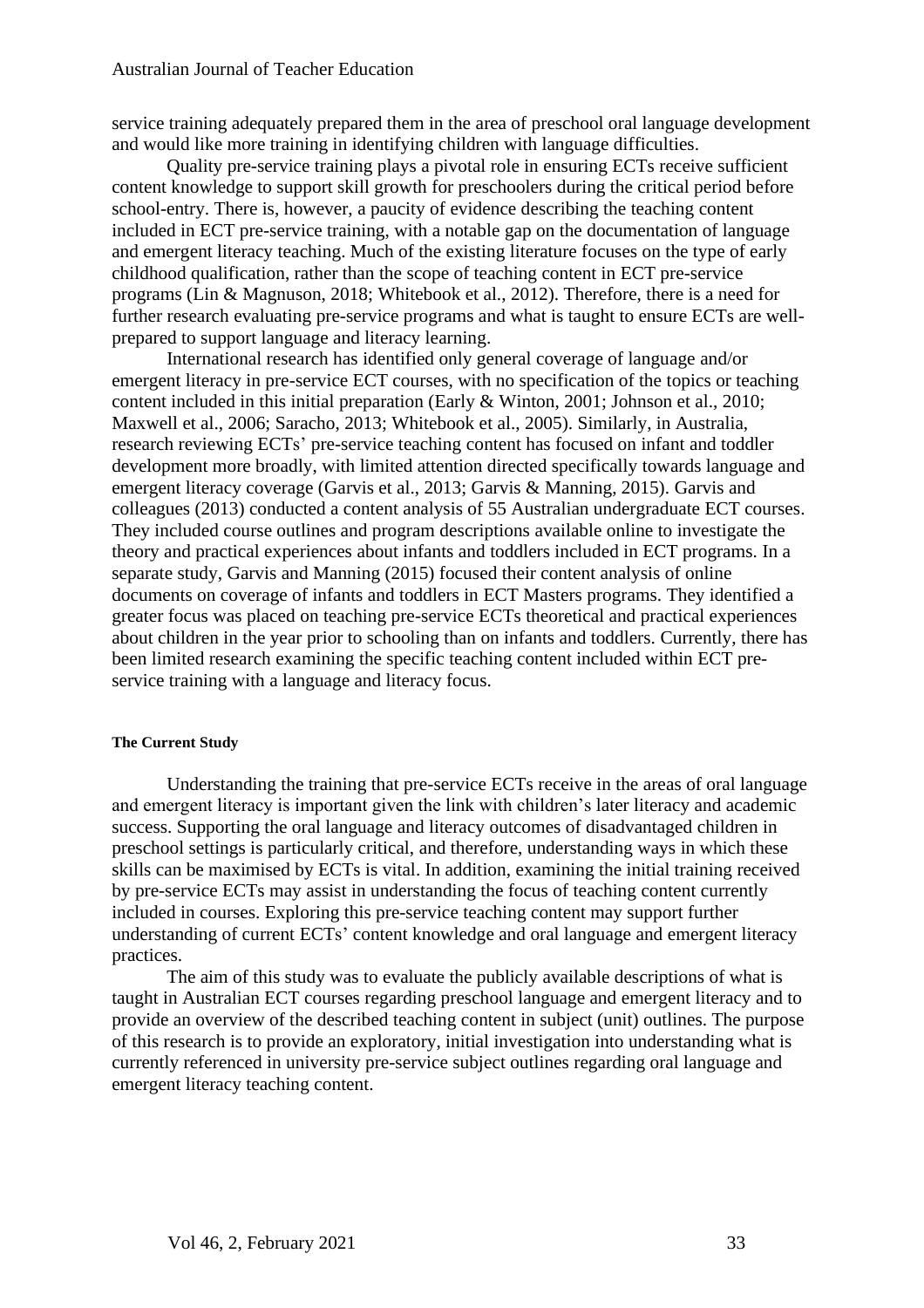service training adequately prepared them in the area of preschool oral language development and would like more training in identifying children with language difficulties.

Quality pre-service training plays a pivotal role in ensuring ECTs receive sufficient content knowledge to support skill growth for preschoolers during the critical period before school-entry. There is, however, a paucity of evidence describing the teaching content included in ECT pre-service training, with a notable gap on the documentation of language and emergent literacy teaching. Much of the existing literature focuses on the type of early childhood qualification, rather than the scope of teaching content in ECT pre-service programs (Lin & Magnuson, 2018; Whitebook et al., 2012). Therefore, there is a need for further research evaluating pre-service programs and what is taught to ensure ECTs are wellprepared to support language and literacy learning.

International research has identified only general coverage of language and/or emergent literacy in pre-service ECT courses, with no specification of the topics or teaching content included in this initial preparation (Early & Winton, 2001; Johnson et al., 2010; Maxwell et al., 2006; Saracho, 2013; Whitebook et al., 2005). Similarly, in Australia, research reviewing ECTs' pre-service teaching content has focused on infant and toddler development more broadly, with limited attention directed specifically towards language and emergent literacy coverage (Garvis et al., 2013; Garvis & Manning, 2015). Garvis and colleagues (2013) conducted a content analysis of 55 Australian undergraduate ECT courses. They included course outlines and program descriptions available online to investigate the theory and practical experiences about infants and toddlers included in ECT programs. In a separate study, Garvis and Manning (2015) focused their content analysis of online documents on coverage of infants and toddlers in ECT Masters programs. They identified a greater focus was placed on teaching pre-service ECTs theoretical and practical experiences about children in the year prior to schooling than on infants and toddlers. Currently, there has been limited research examining the specific teaching content included within ECT preservice training with a language and literacy focus.

## **The Current Study**

Understanding the training that pre-service ECTs receive in the areas of oral language and emergent literacy is important given the link with children's later literacy and academic success. Supporting the oral language and literacy outcomes of disadvantaged children in preschool settings is particularly critical, and therefore, understanding ways in which these skills can be maximised by ECTs is vital. In addition, examining the initial training received by pre-service ECTs may assist in understanding the focus of teaching content currently included in courses. Exploring this pre-service teaching content may support further understanding of current ECTs' content knowledge and oral language and emergent literacy practices.

The aim of this study was to evaluate the publicly available descriptions of what is taught in Australian ECT courses regarding preschool language and emergent literacy and to provide an overview of the described teaching content in subject (unit) outlines. The purpose of this research is to provide an exploratory, initial investigation into understanding what is currently referenced in university pre-service subject outlines regarding oral language and emergent literacy teaching content.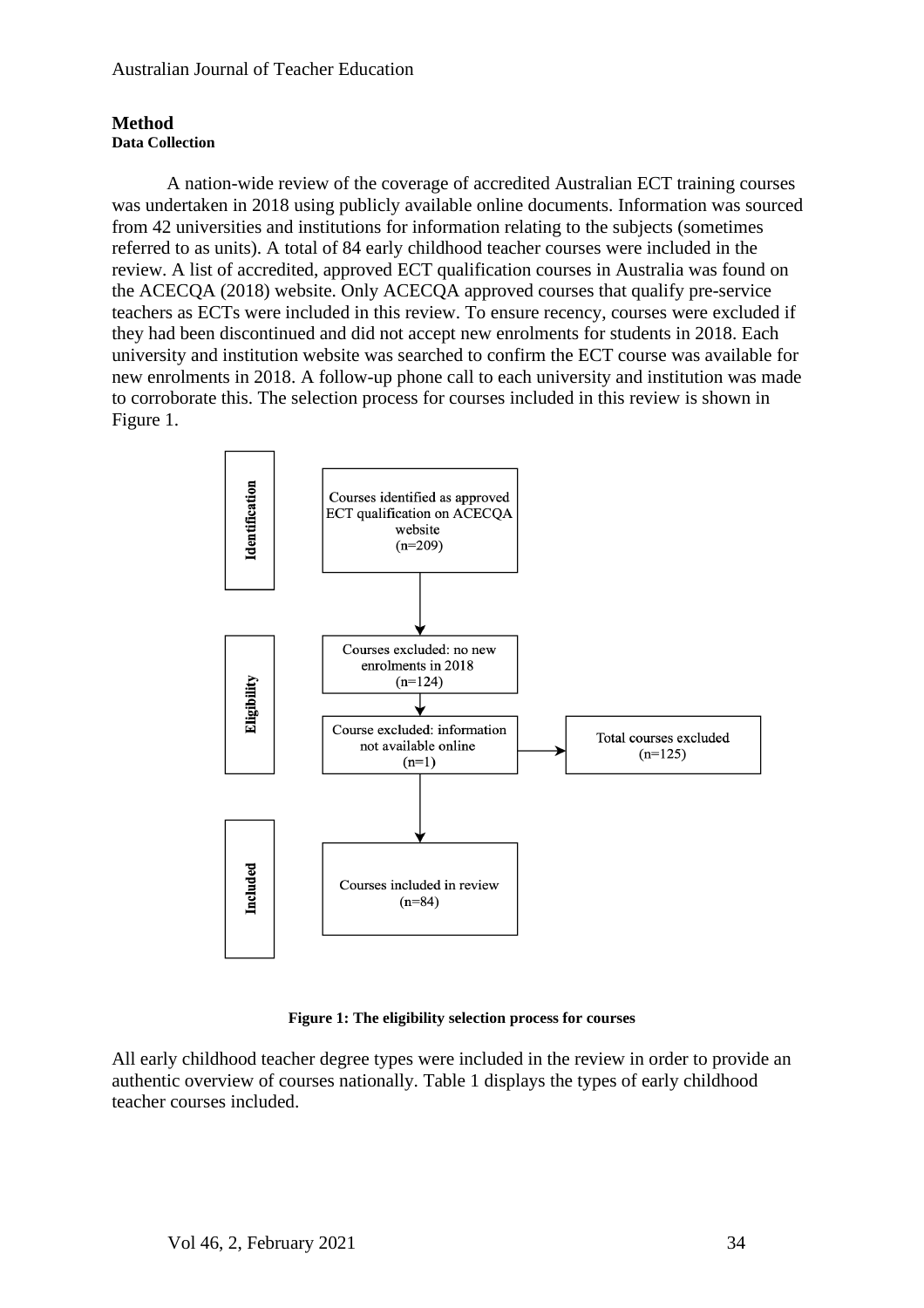## **Method Data Collection**

A nation-wide review of the coverage of accredited Australian ECT training courses was undertaken in 2018 using publicly available online documents. Information was sourced from 42 universities and institutions for information relating to the subjects (sometimes referred to as units). A total of 84 early childhood teacher courses were included in the review. A list of accredited, approved ECT qualification courses in Australia was found on the ACECQA (2018) website. Only ACECQA approved courses that qualify pre-service teachers as ECTs were included in this review. To ensure recency, courses were excluded if they had been discontinued and did not accept new enrolments for students in 2018. Each university and institution website was searched to confirm the ECT course was available for new enrolments in 2018. A follow-up phone call to each university and institution was made to corroborate this. The selection process for courses included in this review is shown in Figure 1.



**Figure 1: The eligibility selection process for courses**

All early childhood teacher degree types were included in the review in order to provide an authentic overview of courses nationally. Table 1 displays the types of early childhood teacher courses included.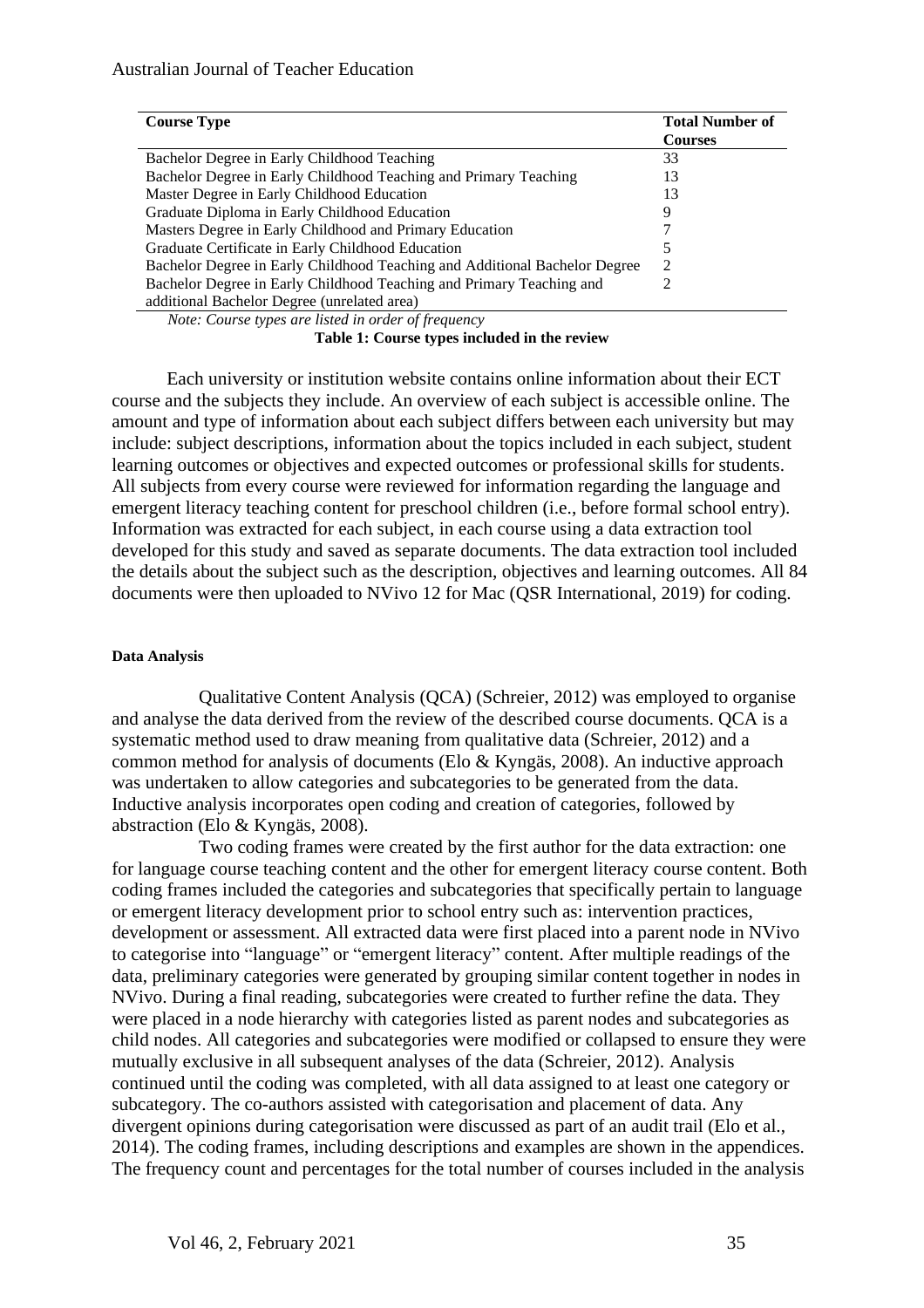| <b>Course Type</b>                                                                                                                                                                                                                                                                                                                              | <b>Total Number of</b><br><b>Courses</b> |
|-------------------------------------------------------------------------------------------------------------------------------------------------------------------------------------------------------------------------------------------------------------------------------------------------------------------------------------------------|------------------------------------------|
| Bachelor Degree in Early Childhood Teaching                                                                                                                                                                                                                                                                                                     | 33                                       |
| Bachelor Degree in Early Childhood Teaching and Primary Teaching                                                                                                                                                                                                                                                                                | 13                                       |
| Master Degree in Early Childhood Education                                                                                                                                                                                                                                                                                                      | 13                                       |
| Graduate Diploma in Early Childhood Education                                                                                                                                                                                                                                                                                                   | 9                                        |
| Masters Degree in Early Childhood and Primary Education                                                                                                                                                                                                                                                                                         |                                          |
| Graduate Certificate in Early Childhood Education                                                                                                                                                                                                                                                                                               |                                          |
| Bachelor Degree in Early Childhood Teaching and Additional Bachelor Degree                                                                                                                                                                                                                                                                      |                                          |
| Bachelor Degree in Early Childhood Teaching and Primary Teaching and                                                                                                                                                                                                                                                                            |                                          |
| additional Bachelor Degree (unrelated area)<br>$\mathbf{v}$ and $\mathbf{v}$ and $\mathbf{v}$ and $\mathbf{v}$ and $\mathbf{v}$ and $\mathbf{v}$ and $\mathbf{v}$ and $\mathbf{v}$ and $\mathbf{v}$ and $\mathbf{v}$ and $\mathbf{v}$ and $\mathbf{v}$ and $\mathbf{v}$ and $\mathbf{v}$ and $\mathbf{v}$ and $\mathbf{v}$ and $\mathbf{v}$ and |                                          |

*Note: Course types are listed in order of frequency*

**Table 1: Course types included in the review**

Each university or institution website contains online information about their ECT course and the subjects they include. An overview of each subject is accessible online. The amount and type of information about each subject differs between each university but may include: subject descriptions, information about the topics included in each subject, student learning outcomes or objectives and expected outcomes or professional skills for students. All subjects from every course were reviewed for information regarding the language and emergent literacy teaching content for preschool children (i.e., before formal school entry). Information was extracted for each subject, in each course using a data extraction tool developed for this study and saved as separate documents. The data extraction tool included the details about the subject such as the description, objectives and learning outcomes. All 84 documents were then uploaded to NVivo 12 for Mac (QSR International, 2019) for coding.

## **Data Analysis**

Qualitative Content Analysis (QCA) (Schreier, 2012) was employed to organise and analyse the data derived from the review of the described course documents. QCA is a systematic method used to draw meaning from qualitative data (Schreier, 2012) and a common method for analysis of documents (Elo & Kyngäs, 2008). An inductive approach was undertaken to allow categories and subcategories to be generated from the data. Inductive analysis incorporates open coding and creation of categories, followed by abstraction (Elo & Kyngäs, 2008).

Two coding frames were created by the first author for the data extraction: one for language course teaching content and the other for emergent literacy course content. Both coding frames included the categories and subcategories that specifically pertain to language or emergent literacy development prior to school entry such as: intervention practices, development or assessment. All extracted data were first placed into a parent node in NVivo to categorise into "language" or "emergent literacy" content. After multiple readings of the data, preliminary categories were generated by grouping similar content together in nodes in NVivo. During a final reading, subcategories were created to further refine the data. They were placed in a node hierarchy with categories listed as parent nodes and subcategories as child nodes. All categories and subcategories were modified or collapsed to ensure they were mutually exclusive in all subsequent analyses of the data (Schreier, 2012). Analysis continued until the coding was completed, with all data assigned to at least one category or subcategory. The co-authors assisted with categorisation and placement of data. Any divergent opinions during categorisation were discussed as part of an audit trail (Elo et al., 2014). The coding frames, including descriptions and examples are shown in the appendices. The frequency count and percentages for the total number of courses included in the analysis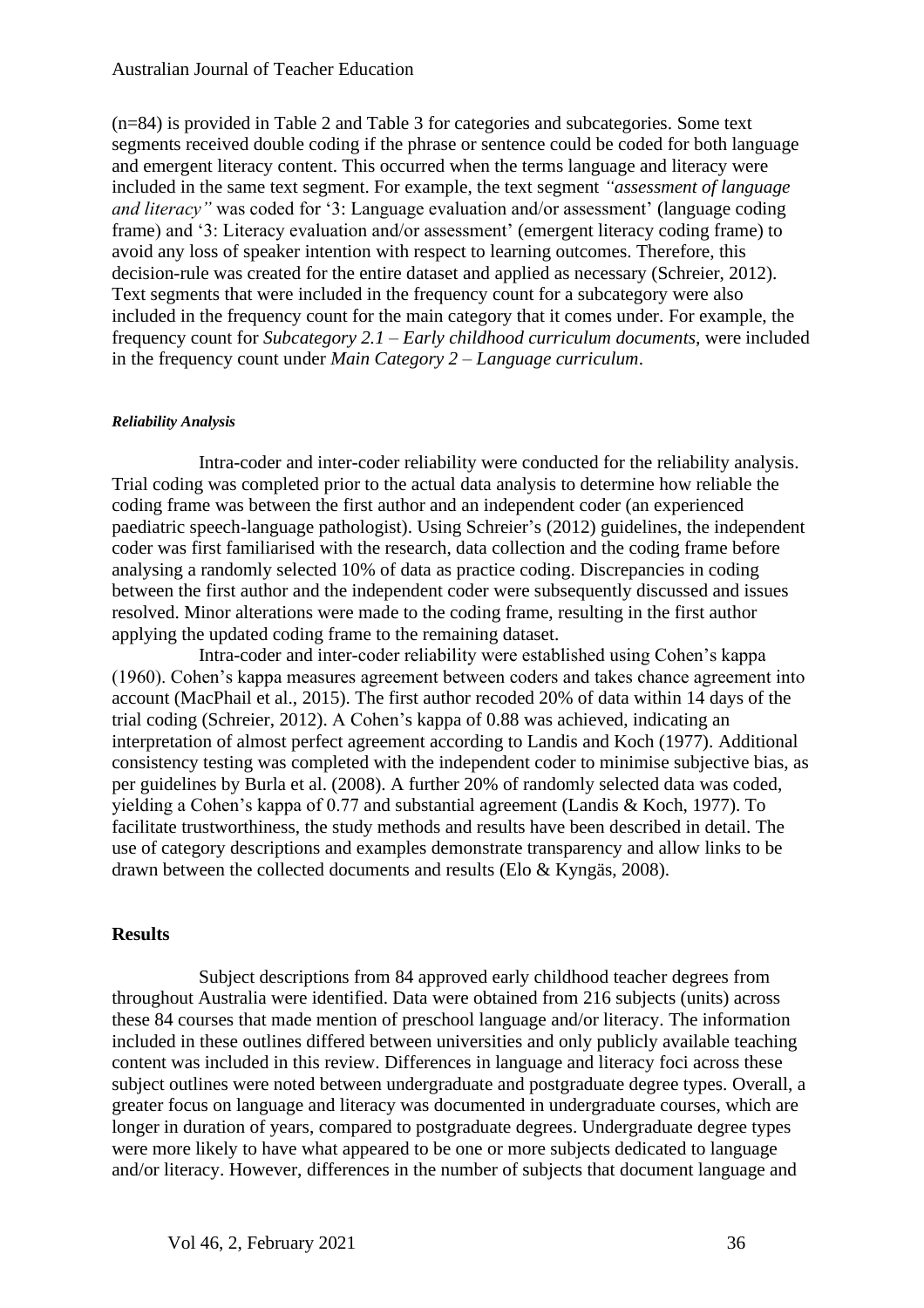(n=84) is provided in Table 2 and Table 3 for categories and subcategories. Some text segments received double coding if the phrase or sentence could be coded for both language and emergent literacy content. This occurred when the terms language and literacy were included in the same text segment. For example, the text segment *"assessment of language and literacy"* was coded for '3: Language evaluation and/or assessment' (language coding frame) and '3: Literacy evaluation and/or assessment' (emergent literacy coding frame) to avoid any loss of speaker intention with respect to learning outcomes. Therefore, this decision-rule was created for the entire dataset and applied as necessary (Schreier, 2012). Text segments that were included in the frequency count for a subcategory were also included in the frequency count for the main category that it comes under. For example, the frequency count for *Subcategory 2.1 – Early childhood curriculum documents,* were included in the frequency count under *Main Category 2 – Language curriculum*.

## *Reliability Analysis*

Intra-coder and inter-coder reliability were conducted for the reliability analysis. Trial coding was completed prior to the actual data analysis to determine how reliable the coding frame was between the first author and an independent coder (an experienced paediatric speech-language pathologist). Using Schreier's (2012) guidelines, the independent coder was first familiarised with the research, data collection and the coding frame before analysing a randomly selected 10% of data as practice coding. Discrepancies in coding between the first author and the independent coder were subsequently discussed and issues resolved. Minor alterations were made to the coding frame, resulting in the first author applying the updated coding frame to the remaining dataset.

Intra-coder and inter-coder reliability were established using Cohen's kappa (1960). Cohen's kappa measures agreement between coders and takes chance agreement into account (MacPhail et al., 2015). The first author recoded 20% of data within 14 days of the trial coding (Schreier, 2012). A Cohen's kappa of 0.88 was achieved, indicating an interpretation of almost perfect agreement according to Landis and Koch (1977). Additional consistency testing was completed with the independent coder to minimise subjective bias, as per guidelines by Burla et al. (2008). A further 20% of randomly selected data was coded, yielding a Cohen's kappa of 0.77 and substantial agreement (Landis & Koch, 1977). To facilitate trustworthiness, the study methods and results have been described in detail. The use of category descriptions and examples demonstrate transparency and allow links to be drawn between the collected documents and results (Elo & Kyngäs, 2008).

## **Results**

Subject descriptions from 84 approved early childhood teacher degrees from throughout Australia were identified. Data were obtained from 216 subjects (units) across these 84 courses that made mention of preschool language and/or literacy. The information included in these outlines differed between universities and only publicly available teaching content was included in this review. Differences in language and literacy foci across these subject outlines were noted between undergraduate and postgraduate degree types. Overall, a greater focus on language and literacy was documented in undergraduate courses, which are longer in duration of years, compared to postgraduate degrees. Undergraduate degree types were more likely to have what appeared to be one or more subjects dedicated to language and/or literacy. However, differences in the number of subjects that document language and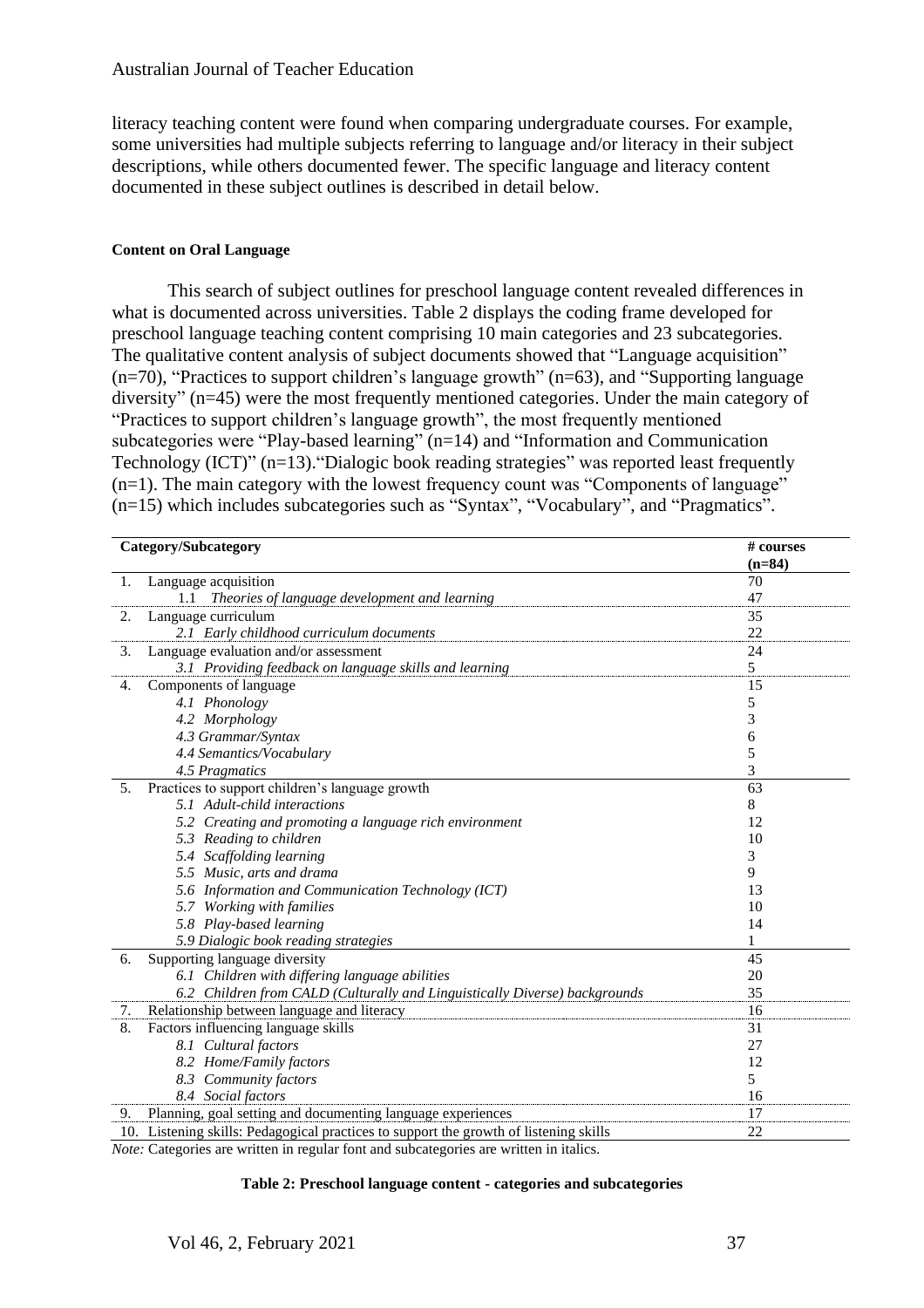literacy teaching content were found when comparing undergraduate courses. For example, some universities had multiple subjects referring to language and/or literacy in their subject descriptions, while others documented fewer. The specific language and literacy content documented in these subject outlines is described in detail below.

## **Content on Oral Language**

This search of subject outlines for preschool language content revealed differences in what is documented across universities. Table 2 displays the coding frame developed for preschool language teaching content comprising 10 main categories and 23 subcategories. The qualitative content analysis of subject documents showed that "Language acquisition" (n=70), "Practices to support children's language growth" (n=63), and "Supporting language diversity" (n=45) were the most frequently mentioned categories. Under the main category of "Practices to support children's language growth", the most frequently mentioned subcategories were "Play-based learning" (n=14) and "Information and Communication Technology (ICT)" (n=13)."Dialogic book reading strategies" was reported least frequently  $(n=1)$ . The main category with the lowest frequency count was "Components of language" (n=15) which includes subcategories such as "Syntax", "Vocabulary", and "Pragmatics".

|    | Category/Subcategory<br># courses                                                     |          |  |
|----|---------------------------------------------------------------------------------------|----------|--|
|    |                                                                                       | $(n=84)$ |  |
| 1. | Language acquisition                                                                  | 70       |  |
|    | 1.1<br>Theories of language development and learning                                  | 47       |  |
| 2. | Language curriculum                                                                   | 35       |  |
|    | 2.1 Early childhood curriculum documents                                              | 22       |  |
| 3. | Language evaluation and/or assessment                                                 | 24       |  |
|    | 3.1 Providing feedback on language skills and learning                                | 5        |  |
| 4. | Components of language                                                                | 15       |  |
|    | 4.1 Phonology                                                                         | 5        |  |
|    | 4.2 Morphology                                                                        | 3        |  |
|    | 4.3 Grammar/Syntax                                                                    | 6        |  |
|    | 4.4 Semantics/Vocabulary                                                              | 5        |  |
|    | 4.5 Pragmatics                                                                        | 3        |  |
| 5. | Practices to support children's language growth                                       | 63       |  |
|    | 5.1 Adult-child interactions                                                          | 8        |  |
|    | 5.2 Creating and promoting a language rich environment                                | 12       |  |
|    | 5.3 Reading to children                                                               | 10       |  |
|    | 5.4 Scaffolding learning                                                              | 3        |  |
|    | 5.5 Music, arts and drama                                                             | 9        |  |
|    | 5.6 Information and Communication Technology (ICT)                                    | 13       |  |
|    | 5.7 Working with families                                                             | 10       |  |
|    | 5.8 Play-based learning                                                               | 14       |  |
|    | 5.9 Dialogic book reading strategies                                                  | 1        |  |
| 6. | Supporting language diversity                                                         | 45       |  |
|    | 6.1 Children with differing language abilities                                        | 20       |  |
|    | 6.2 Children from CALD (Culturally and Linguistically Diverse) backgrounds            | 35       |  |
| 7. | Relationship between language and literacy                                            | 16       |  |
| 8. | Factors influencing language skills                                                   | 31       |  |
|    | 8.1 Cultural factors                                                                  | 27       |  |
|    | 8.2 Home/Family factors                                                               | 12       |  |
|    | 8.3 Community factors                                                                 | 5        |  |
|    | 8.4 Social factors                                                                    | 16       |  |
| 9. | Planning, goal setting and documenting language experiences                           | 17       |  |
|    | 10. Listening skills: Pedagogical practices to support the growth of listening skills | 22       |  |

*Note:* Categories are written in regular font and subcategories are written in italics.

#### **Table 2: Preschool language content - categories and subcategories**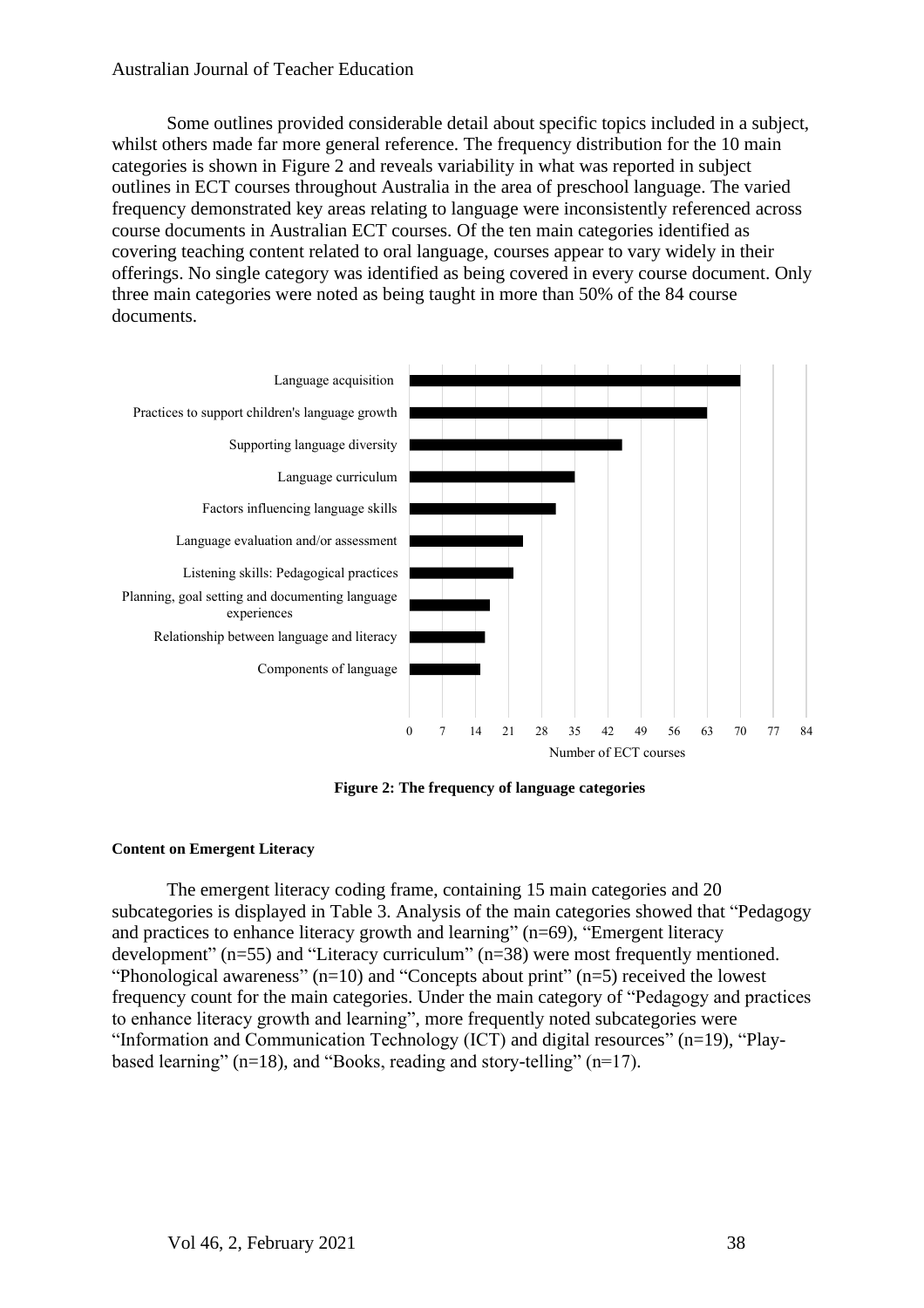Some outlines provided considerable detail about specific topics included in a subject, whilst others made far more general reference. The frequency distribution for the 10 main categories is shown in Figure 2 and reveals variability in what was reported in subject outlines in ECT courses throughout Australia in the area of preschool language. The varied frequency demonstrated key areas relating to language were inconsistently referenced across course documents in Australian ECT courses. Of the ten main categories identified as covering teaching content related to oral language, courses appear to vary widely in their offerings. No single category was identified as being covered in every course document. Only three main categories were noted as being taught in more than 50% of the 84 course documents.



**Figure 2: The frequency of language categories**

## **Content on Emergent Literacy**

The emergent literacy coding frame, containing 15 main categories and 20 subcategories is displayed in Table 3. Analysis of the main categories showed that "Pedagogy and practices to enhance literacy growth and learning" (n=69), "Emergent literacy development" (n=55) and "Literacy curriculum" (n=38) were most frequently mentioned. "Phonological awareness"  $(n=10)$  and "Concepts about print"  $(n=5)$  received the lowest frequency count for the main categories. Under the main category of "Pedagogy and practices to enhance literacy growth and learning", more frequently noted subcategories were "Information and Communication Technology (ICT) and digital resources" (n=19), "Playbased learning" (n=18), and "Books, reading and story-telling" (n=17).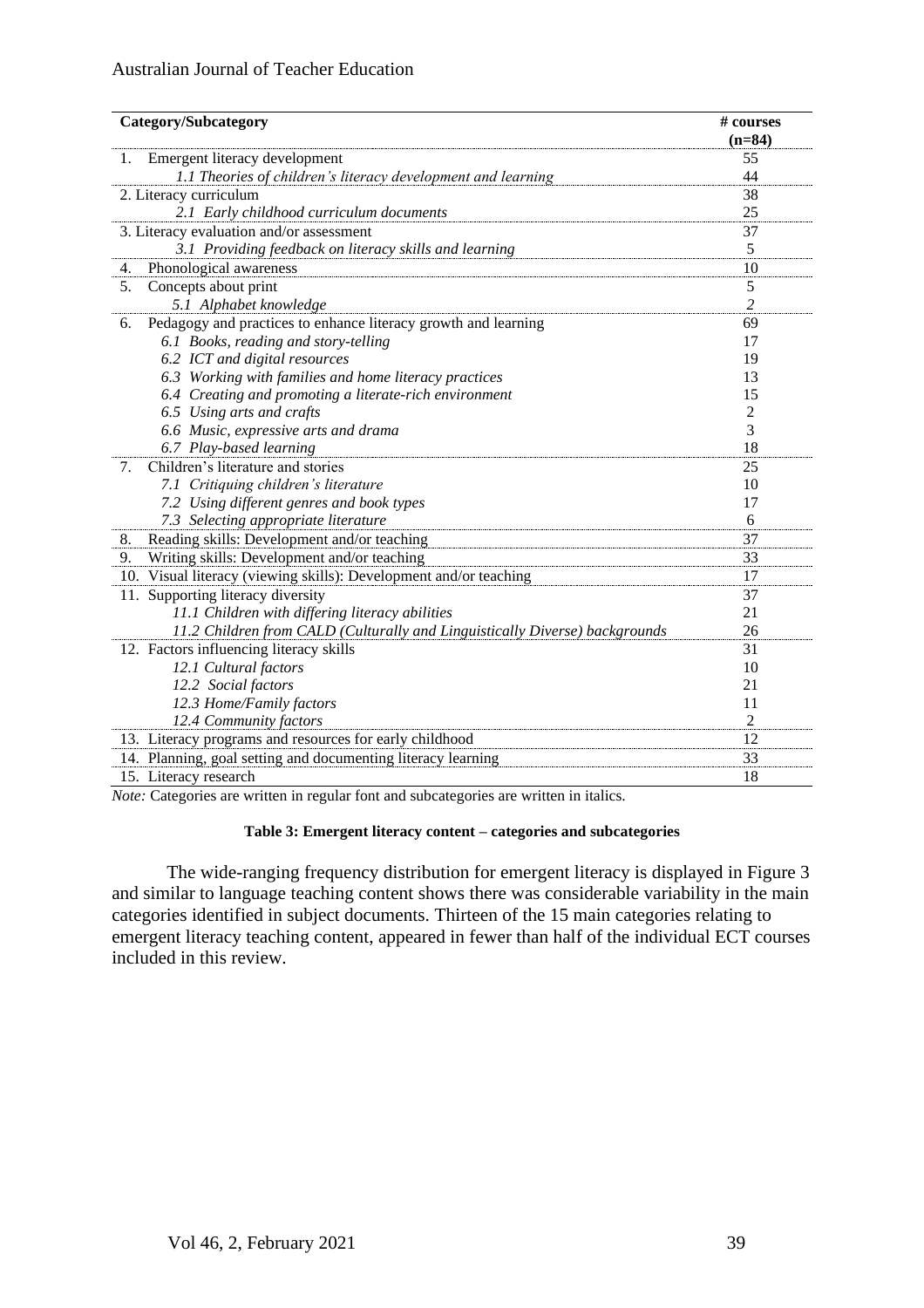| Category/Subcategory                                                        | # courses      |
|-----------------------------------------------------------------------------|----------------|
|                                                                             | $(n=84)$       |
| Emergent literacy development<br>1.                                         | 55             |
| 1.1 Theories of children's literacy development and learning                | 44             |
| 2. Literacy curriculum                                                      | 38             |
| 2.1 Early childhood curriculum documents                                    | 25             |
| 3. Literacy evaluation and/or assessment                                    | 37             |
| 3.1 Providing feedback on literacy skills and learning                      | 5              |
| Phonological awareness<br>4.                                                | 10             |
| Concepts about print<br>5.                                                  | $\sqrt{5}$     |
| 5.1 Alphabet knowledge                                                      | $\overline{c}$ |
| Pedagogy and practices to enhance literacy growth and learning<br>6.        | 69             |
| 6.1 Books, reading and story-telling                                        | 17             |
| 6.2 ICT and digital resources                                               | 19             |
| 6.3 Working with families and home literacy practices                       | 13             |
| 6.4 Creating and promoting a literate-rich environment                      | 15             |
| 6.5 Using arts and crafts                                                   | $\overline{2}$ |
| 6.6 Music, expressive arts and drama                                        | 3              |
| 6.7 Play-based learning                                                     | 18             |
| Children's literature and stories<br>7.                                     | 25             |
| 7.1 Critiquing children's literature                                        | 10             |
| 7.2 Using different genres and book types                                   | 17             |
| 7.3 Selecting appropriate literature                                        | 6              |
| Reading skills: Development and/or teaching<br>8.                           | 37             |
| Writing skills: Development and/or teaching<br>9.                           | 33             |
| 10. Visual literacy (viewing skills): Development and/or teaching           | 17             |
| 11. Supporting literacy diversity                                           | 37             |
| 11.1 Children with differing literacy abilities                             | 21             |
| 11.2 Children from CALD (Culturally and Linguistically Diverse) backgrounds | 26             |
| 12. Factors influencing literacy skills                                     | 31             |
| 12.1 Cultural factors                                                       | 10             |
| 12.2 Social factors                                                         | 21             |
| 12.3 Home/Family factors                                                    | 11             |
| 12.4 Community factors                                                      | 2              |
| 13. Literacy programs and resources for early childhood                     | 12             |
| 14. Planning, goal setting and documenting literacy learning                | 33             |
| 15. Literacy research                                                       | 18             |

*Note:* Categories are written in regular font and subcategories are written in italics.

## **Table 3: Emergent literacy content – categories and subcategories**

The wide-ranging frequency distribution for emergent literacy is displayed in Figure 3 and similar to language teaching content shows there was considerable variability in the main categories identified in subject documents. Thirteen of the 15 main categories relating to emergent literacy teaching content, appeared in fewer than half of the individual ECT courses included in this review.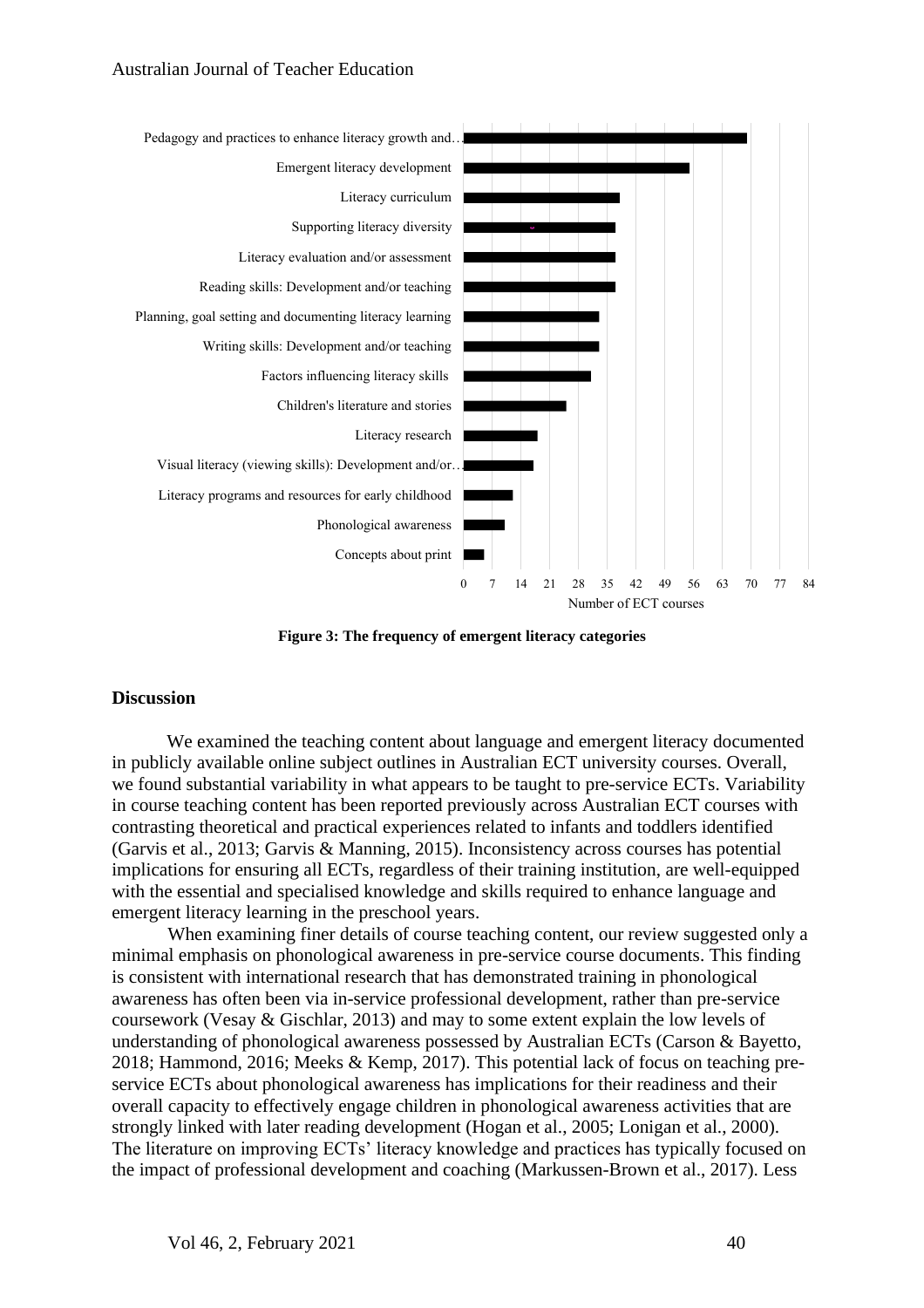

**Figure 3: The frequency of emergent literacy categories**

## **Discussion**

We examined the teaching content about language and emergent literacy documented in publicly available online subject outlines in Australian ECT university courses. Overall, we found substantial variability in what appears to be taught to pre-service ECTs. Variability in course teaching content has been reported previously across Australian ECT courses with contrasting theoretical and practical experiences related to infants and toddlers identified (Garvis et al., 2013; Garvis & Manning, 2015). Inconsistency across courses has potential implications for ensuring all ECTs, regardless of their training institution, are well-equipped with the essential and specialised knowledge and skills required to enhance language and emergent literacy learning in the preschool years.

When examining finer details of course teaching content, our review suggested only a minimal emphasis on phonological awareness in pre-service course documents. This finding is consistent with international research that has demonstrated training in phonological awareness has often been via in-service professional development, rather than pre-service coursework (Vesay & Gischlar, 2013) and may to some extent explain the low levels of understanding of phonological awareness possessed by Australian ECTs (Carson & Bayetto, 2018; Hammond, 2016; Meeks & Kemp, 2017). This potential lack of focus on teaching preservice ECTs about phonological awareness has implications for their readiness and their overall capacity to effectively engage children in phonological awareness activities that are strongly linked with later reading development (Hogan et al., 2005; Lonigan et al., 2000). The literature on improving ECTs' literacy knowledge and practices has typically focused on the impact of professional development and coaching (Markussen-Brown et al., 2017). Less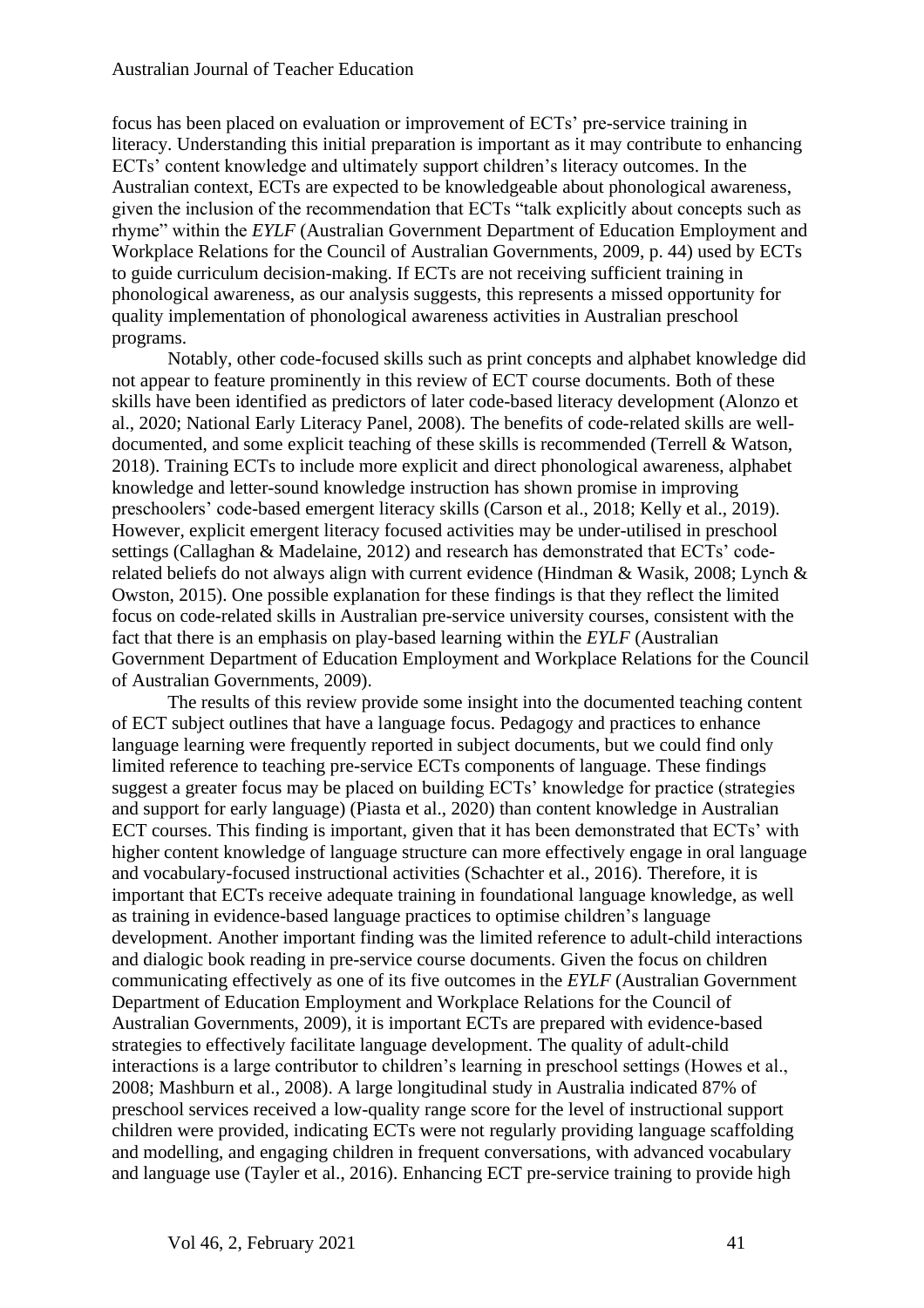focus has been placed on evaluation or improvement of ECTs' pre-service training in literacy. Understanding this initial preparation is important as it may contribute to enhancing ECTs' content knowledge and ultimately support children's literacy outcomes. In the Australian context, ECTs are expected to be knowledgeable about phonological awareness, given the inclusion of the recommendation that ECTs "talk explicitly about concepts such as rhyme" within the *EYLF* (Australian Government Department of Education Employment and Workplace Relations for the Council of Australian Governments, 2009, p. 44) used by ECTs to guide curriculum decision-making. If ECTs are not receiving sufficient training in phonological awareness, as our analysis suggests, this represents a missed opportunity for quality implementation of phonological awareness activities in Australian preschool programs.

Notably, other code-focused skills such as print concepts and alphabet knowledge did not appear to feature prominently in this review of ECT course documents. Both of these skills have been identified as predictors of later code-based literacy development (Alonzo et al., 2020; National Early Literacy Panel, 2008). The benefits of code-related skills are welldocumented, and some explicit teaching of these skills is recommended (Terrell & Watson, 2018). Training ECTs to include more explicit and direct phonological awareness, alphabet knowledge and letter-sound knowledge instruction has shown promise in improving preschoolers' code-based emergent literacy skills (Carson et al., 2018; Kelly et al., 2019). However, explicit emergent literacy focused activities may be under-utilised in preschool settings (Callaghan & Madelaine, 2012) and research has demonstrated that ECTs' coderelated beliefs do not always align with current evidence (Hindman & Wasik, 2008; Lynch & Owston, 2015). One possible explanation for these findings is that they reflect the limited focus on code-related skills in Australian pre-service university courses, consistent with the fact that there is an emphasis on play-based learning within the *EYLF* (Australian Government Department of Education Employment and Workplace Relations for the Council of Australian Governments, 2009).

The results of this review provide some insight into the documented teaching content of ECT subject outlines that have a language focus. Pedagogy and practices to enhance language learning were frequently reported in subject documents, but we could find only limited reference to teaching pre-service ECTs components of language. These findings suggest a greater focus may be placed on building ECTs' knowledge for practice (strategies and support for early language) (Piasta et al., 2020) than content knowledge in Australian ECT courses. This finding is important, given that it has been demonstrated that ECTs' with higher content knowledge of language structure can more effectively engage in oral language and vocabulary-focused instructional activities (Schachter et al., 2016). Therefore, it is important that ECTs receive adequate training in foundational language knowledge, as well as training in evidence-based language practices to optimise children's language development. Another important finding was the limited reference to adult-child interactions and dialogic book reading in pre-service course documents. Given the focus on children communicating effectively as one of its five outcomes in the *EYLF* (Australian Government Department of Education Employment and Workplace Relations for the Council of Australian Governments, 2009), it is important ECTs are prepared with evidence-based strategies to effectively facilitate language development. The quality of adult-child interactions is a large contributor to children's learning in preschool settings (Howes et al., 2008; Mashburn et al., 2008). A large longitudinal study in Australia indicated 87% of preschool services received a low-quality range score for the level of instructional support children were provided, indicating ECTs were not regularly providing language scaffolding and modelling, and engaging children in frequent conversations, with advanced vocabulary and language use (Tayler et al., 2016). Enhancing ECT pre-service training to provide high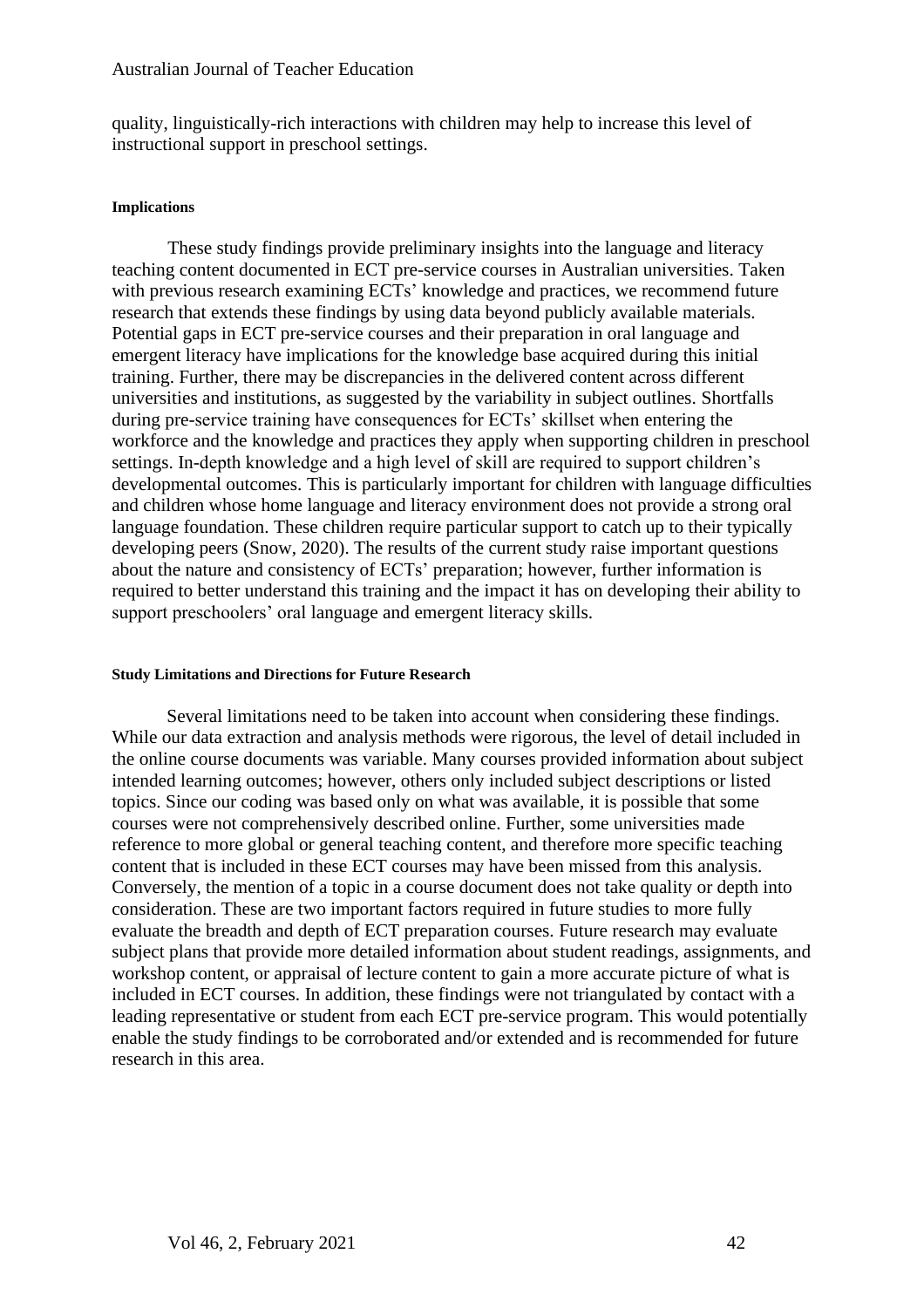quality, linguistically-rich interactions with children may help to increase this level of instructional support in preschool settings.

#### **Implications**

These study findings provide preliminary insights into the language and literacy teaching content documented in ECT pre-service courses in Australian universities. Taken with previous research examining ECTs' knowledge and practices, we recommend future research that extends these findings by using data beyond publicly available materials. Potential gaps in ECT pre-service courses and their preparation in oral language and emergent literacy have implications for the knowledge base acquired during this initial training. Further, there may be discrepancies in the delivered content across different universities and institutions, as suggested by the variability in subject outlines. Shortfalls during pre-service training have consequences for ECTs' skillset when entering the workforce and the knowledge and practices they apply when supporting children in preschool settings. In-depth knowledge and a high level of skill are required to support children's developmental outcomes. This is particularly important for children with language difficulties and children whose home language and literacy environment does not provide a strong oral language foundation. These children require particular support to catch up to their typically developing peers (Snow, 2020). The results of the current study raise important questions about the nature and consistency of ECTs' preparation; however, further information is required to better understand this training and the impact it has on developing their ability to support preschoolers' oral language and emergent literacy skills.

#### **Study Limitations and Directions for Future Research**

Several limitations need to be taken into account when considering these findings. While our data extraction and analysis methods were rigorous, the level of detail included in the online course documents was variable. Many courses provided information about subject intended learning outcomes; however, others only included subject descriptions or listed topics. Since our coding was based only on what was available, it is possible that some courses were not comprehensively described online. Further, some universities made reference to more global or general teaching content, and therefore more specific teaching content that is included in these ECT courses may have been missed from this analysis. Conversely, the mention of a topic in a course document does not take quality or depth into consideration. These are two important factors required in future studies to more fully evaluate the breadth and depth of ECT preparation courses. Future research may evaluate subject plans that provide more detailed information about student readings, assignments, and workshop content, or appraisal of lecture content to gain a more accurate picture of what is included in ECT courses. In addition, these findings were not triangulated by contact with a leading representative or student from each ECT pre-service program. This would potentially enable the study findings to be corroborated and/or extended and is recommended for future research in this area.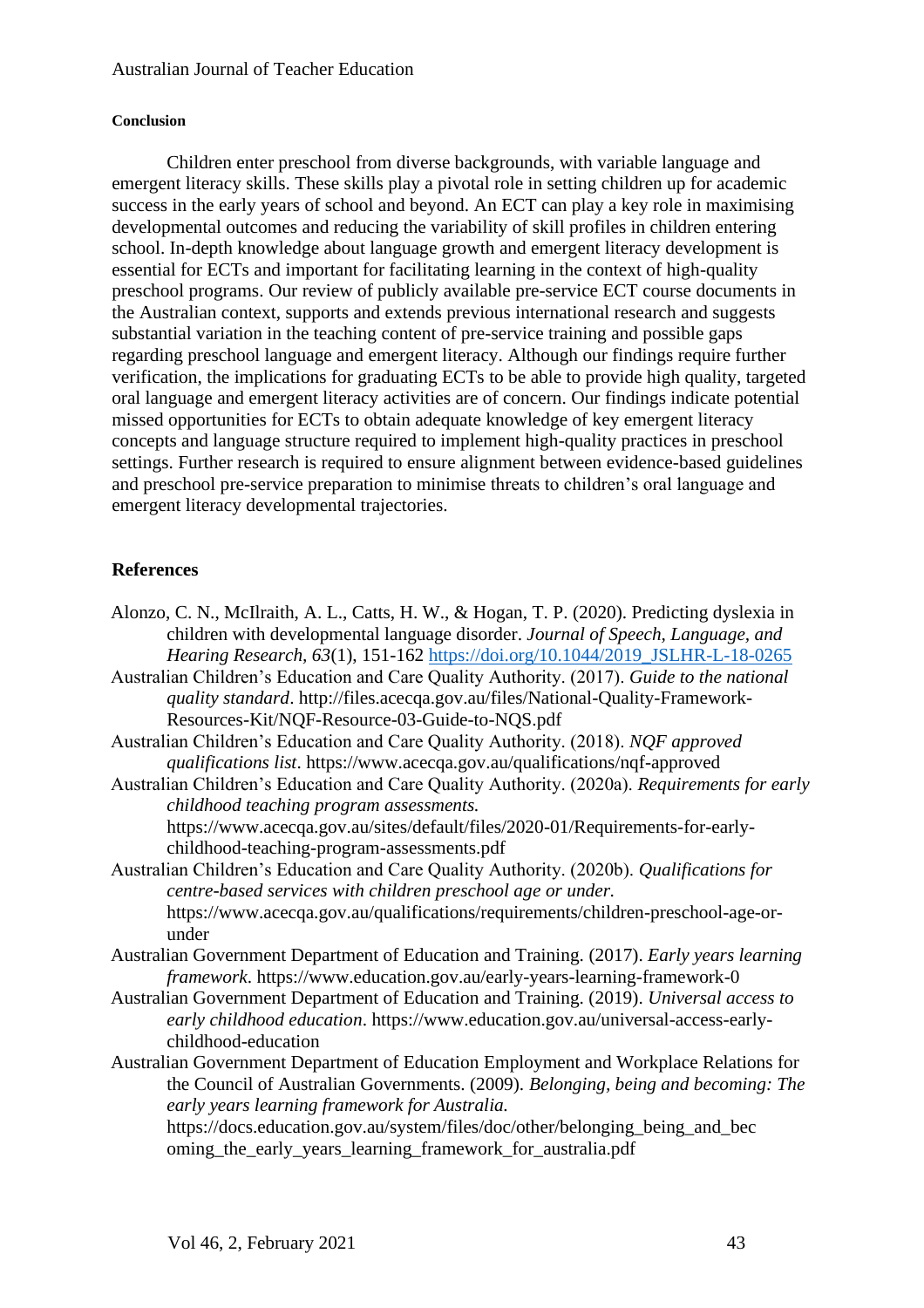## **Conclusion**

Children enter preschool from diverse backgrounds, with variable language and emergent literacy skills. These skills play a pivotal role in setting children up for academic success in the early years of school and beyond. An ECT can play a key role in maximising developmental outcomes and reducing the variability of skill profiles in children entering school. In-depth knowledge about language growth and emergent literacy development is essential for ECTs and important for facilitating learning in the context of high-quality preschool programs. Our review of publicly available pre-service ECT course documents in the Australian context, supports and extends previous international research and suggests substantial variation in the teaching content of pre-service training and possible gaps regarding preschool language and emergent literacy. Although our findings require further verification, the implications for graduating ECTs to be able to provide high quality, targeted oral language and emergent literacy activities are of concern. Our findings indicate potential missed opportunities for ECTs to obtain adequate knowledge of key emergent literacy concepts and language structure required to implement high-quality practices in preschool settings. Further research is required to ensure alignment between evidence-based guidelines and preschool pre-service preparation to minimise threats to children's oral language and emergent literacy developmental trajectories.

## **References**

- Alonzo, C. N., McIlraith, A. L., Catts, H. W., & Hogan, T. P. (2020). Predicting dyslexia in children with developmental language disorder. *Journal of Speech, Language, and Hearing Research, 63*(1), 151-162 [https://doi.org/10.1044/2019\\_JSLHR-L-18-0265](https://doi.org/10.1044/2019_JSLHR-L-18-0265)
- Australian Children's Education and Care Quality Authority. (2017). *Guide to the national quality standard*. http://files.acecqa.gov.au/files/National-Quality-Framework-Resources-Kit/NQF-Resource-03-Guide-to-NQS.pdf
- Australian Children's Education and Care Quality Authority. (2018). *NQF approved qualifications list*. https://www.acecqa.gov.au/qualifications/nqf-approved
- Australian Children's Education and Care Quality Authority. (2020a). *Requirements for early childhood teaching program assessments.* https://www.acecqa.gov.au/sites/default/files/2020-01/Requirements-for-earlychildhood-teaching-program-assessments.pdf
- Australian Children's Education and Care Quality Authority. (2020b). *Qualifications for centre-based services with children preschool age or under.* https://www.acecqa.gov.au/qualifications/requirements/children-preschool-age-orunder
- Australian Government Department of Education and Training. (2017). *Early years learning framework*. https://www.education.gov.au/early-years-learning-framework-0
- Australian Government Department of Education and Training. (2019). *Universal access to early childhood education*. https://www.education.gov.au/universal-access-earlychildhood-education
- Australian Government Department of Education Employment and Workplace Relations for the Council of Australian Governments. (2009). *Belonging, being and becoming: The early years learning framework for Australia.*

https://docs.education.gov.au/system/files/doc/other/belonging\_being\_and\_bec oming the early years learning framework for australia.pdf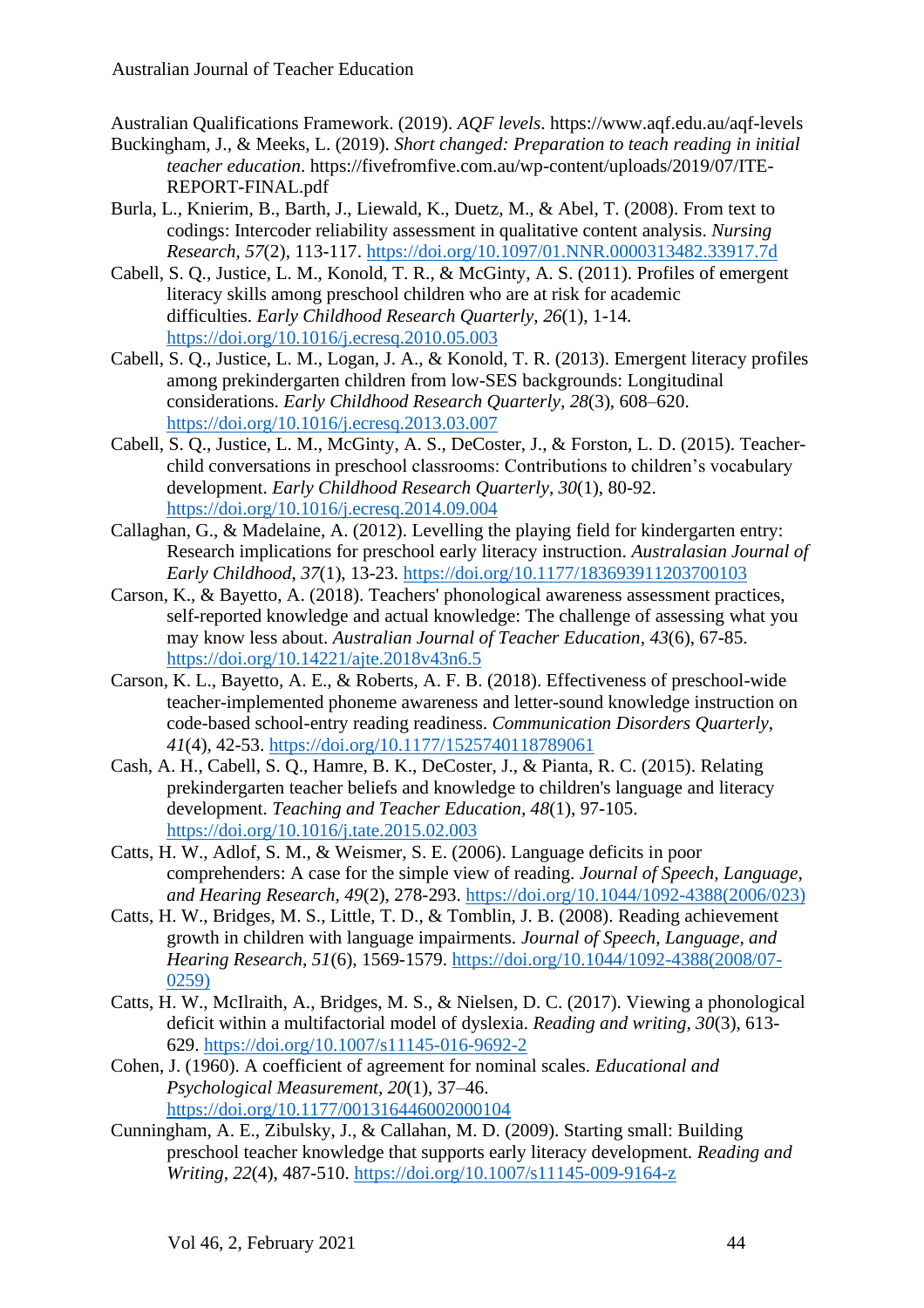Australian Qualifications Framework. (2019). *AQF levels*. https://www.aqf.edu.au/aqf-levels

- Buckingham, J., & Meeks, L. (2019). *Short changed: Preparation to teach reading in initial teacher education*. https://fivefromfive.com.au/wp-content/uploads/2019/07/ITE-REPORT-FINAL.pdf
- Burla, L., Knierim, B., Barth, J., Liewald, K., Duetz, M., & Abel, T. (2008). From text to codings: Intercoder reliability assessment in qualitative content analysis. *Nursing Research, 57*(2), 113-117.<https://doi.org/10.1097/01.NNR.0000313482.33917.7d>
- Cabell, S. Q., Justice, L. M., Konold, T. R., & McGinty, A. S. (2011). Profiles of emergent literacy skills among preschool children who are at risk for academic difficulties. *Early Childhood Research Quarterly*, *26*(1), 1-14. <https://doi.org/10.1016/j.ecresq.2010.05.003>
- Cabell, S. Q., Justice, L. M., Logan, J. A., & Konold, T. R. (2013). Emergent literacy profiles among prekindergarten children from low-SES backgrounds: Longitudinal considerations. *Early Childhood Research Quarterly, 28*(3), 608–620. <https://doi.org/10.1016/j.ecresq.2013.03.007>
- Cabell, S. Q., Justice, L. M., McGinty, A. S., DeCoster, J., & Forston, L. D. (2015). Teacherchild conversations in preschool classrooms: Contributions to children's vocabulary development. *Early Childhood Research Quarterly, 30*(1), 80-92. <https://doi.org/10.1016/j.ecresq.2014.09.004>
- Callaghan, G., & Madelaine, A. (2012). Levelling the playing field for kindergarten entry: Research implications for preschool early literacy instruction. *Australasian Journal of Early Childhood*, *37*(1), 13-23.<https://doi.org/10.1177/183693911203700103>
- Carson, K., & Bayetto, A. (2018). Teachers' phonological awareness assessment practices, self-reported knowledge and actual knowledge: The challenge of assessing what you may know less about. *Australian Journal of Teacher Education, 43*(6), 67-85. <https://doi.org/10.14221/ajte.2018v43n6.5>
- Carson, K. L., Bayetto, A. E., & Roberts, A. F. B. (2018). Effectiveness of preschool-wide teacher-implemented phoneme awareness and letter-sound knowledge instruction on code-based school-entry reading readiness. *Communication Disorders Quarterly*, *41*(4), 42-53.<https://doi.org/10.1177/1525740118789061>
- Cash, A. H., Cabell, S. Q., Hamre, B. K., DeCoster, J., & Pianta, R. C. (2015). Relating prekindergarten teacher beliefs and knowledge to children's language and literacy development. *Teaching and Teacher Education*, *48*(1), 97-105. <https://doi.org/10.1016/j.tate.2015.02.003>
- Catts, H. W., Adlof, S. M., & Weismer, S. E. (2006). Language deficits in poor comprehenders: A case for the simple view of reading. *Journal of Speech, Language, and Hearing Research, 49*(2), 278-293. [https://doi.org/10.1044/1092-4388\(2006/023\)](https://doi.org/10.1044/1092-4388(2006/023))
- Catts, H. W., Bridges, M. S., Little, T. D., & Tomblin, J. B. (2008). Reading achievement growth in children with language impairments. *Journal of Speech, Language, and Hearing Research*, *51*(6), 1569-1579. [https://doi.org/10.1044/1092-4388\(2008/07-](https://doi.org/10.1044/1092-4388(2008/07-0259)) [0259\)](https://doi.org/10.1044/1092-4388(2008/07-0259))
- Catts, H. W., McIlraith, A., Bridges, M. S., & Nielsen, D. C. (2017). Viewing a phonological deficit within a multifactorial model of dyslexia. *Reading and writing, 30*(3), 613- 629.<https://doi.org/10.1007/s11145-016-9692-2>
- Cohen, J. (1960). A coefficient of agreement for nominal scales. *Educational and Psychological Measurement, 20*(1), 37–46. <https://doi.org/10.1177/001316446002000104>
- Cunningham, A. E., Zibulsky, J., & Callahan, M. D. (2009). Starting small: Building preschool teacher knowledge that supports early literacy development. *Reading and Writing*, *22*(4), 487-510.<https://doi.org/10.1007/s11145-009-9164-z>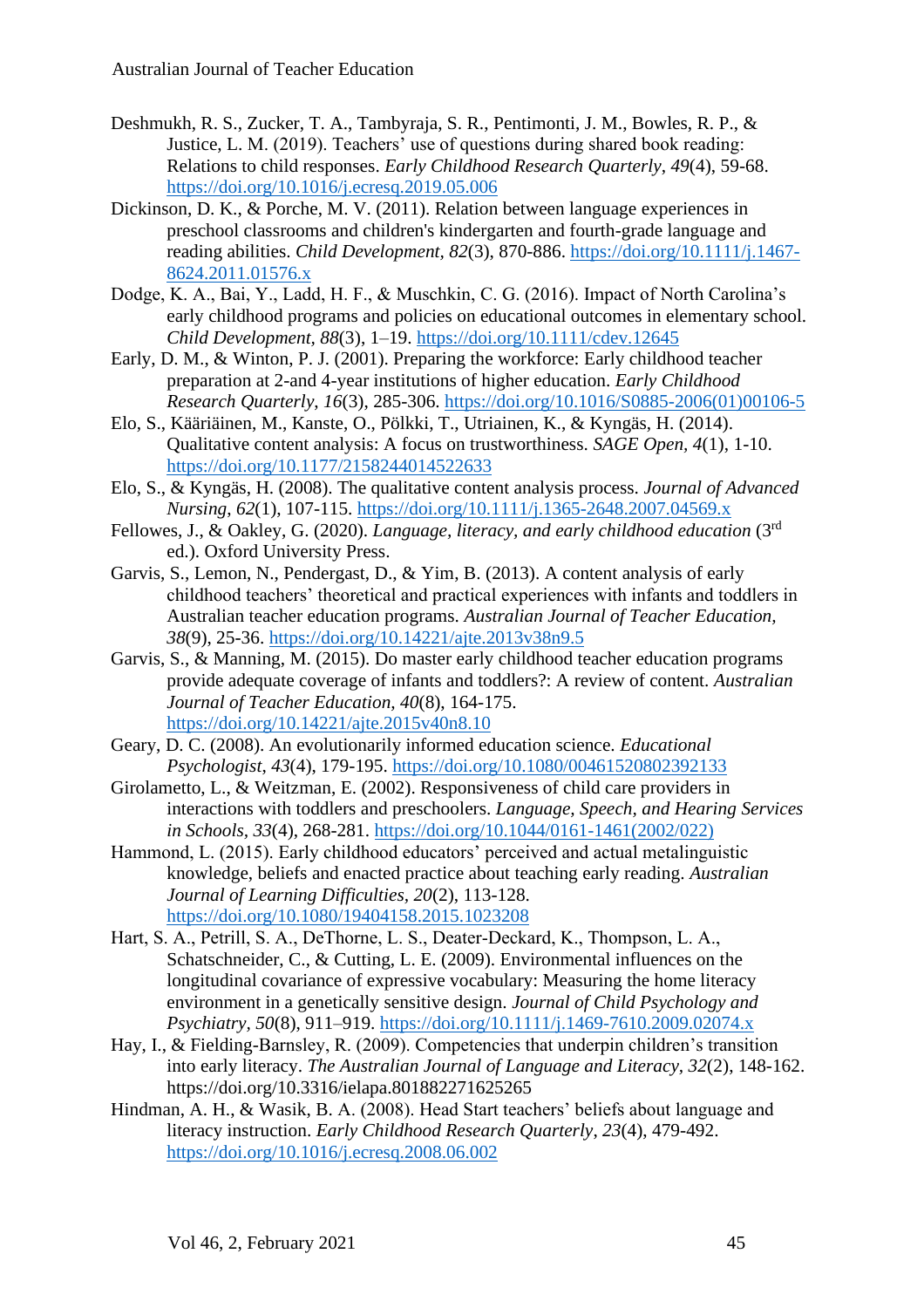- Deshmukh, R. S., Zucker, T. A., Tambyraja, S. R., Pentimonti, J. M., Bowles, R. P., & Justice, L. M. (2019). Teachers' use of questions during shared book reading: Relations to child responses. *Early Childhood Research Quarterly*, *49*(4), 59-68. <https://doi.org/10.1016/j.ecresq.2019.05.006>
- Dickinson, D. K., & Porche, M. V. (2011). Relation between language experiences in preschool classrooms and children's kindergarten and fourth-grade language and reading abilities. *Child Development, 82*(3), 870-886. [https://doi.org/10.1111/j.1467-](https://doi.org/10.1111/j.1467-8624.2011.01576.x) [8624.2011.01576.x](https://doi.org/10.1111/j.1467-8624.2011.01576.x)
- Dodge, K. A., Bai, Y., Ladd, H. F., & Muschkin, C. G. (2016). Impact of North Carolina's early childhood programs and policies on educational outcomes in elementary school*. Child Development, 88*(3), 1–19.<https://doi.org/10.1111/cdev.12645>
- Early, D. M., & Winton, P. J. (2001). Preparing the workforce: Early childhood teacher preparation at 2-and 4-year institutions of higher education. *Early Childhood Research Quarterly*, *16*(3), 285-306. [https://doi.org/10.1016/S0885-2006\(01\)00106-5](https://doi.org/10.1016/S0885-2006(01)00106-5)
- Elo, S., Kääriäinen, M., Kanste, O., Pölkki, T., Utriainen, K., & Kyngäs, H. (2014). Qualitative content analysis: A focus on trustworthiness. *SAGE Open, 4*(1), 1-10. <https://doi.org/10.1177/2158244014522633>
- Elo, S., & Kyngäs, H. (2008). The qualitative content analysis process. *Journal of Advanced Nursing*, *62*(1), 107-115.<https://doi.org/10.1111/j.1365-2648.2007.04569.x>
- Fellowes, J., & Oakley, G. (2020). *Language, literacy, and early childhood education* (3<sup>rd</sup> ed.). Oxford University Press.
- Garvis, S., Lemon, N., Pendergast, D., & Yim, B. (2013). A content analysis of early childhood teachers' theoretical and practical experiences with infants and toddlers in Australian teacher education programs. *Australian Journal of Teacher Education, 38*(9), 25-36.<https://doi.org/10.14221/ajte.2013v38n9.5>
- Garvis, S., & Manning, M. (2015). Do master early childhood teacher education programs provide adequate coverage of infants and toddlers?: A review of content. *Australian Journal of Teacher Education, 40*(8), 164-175. <https://doi.org/10.14221/ajte.2015v40n8.10>
- Geary, D. C. (2008). An evolutionarily informed education science. *Educational Psychologist*, *43*(4), 179-195. <https://doi.org/10.1080/00461520802392133>
- Girolametto, L., & Weitzman, E. (2002). Responsiveness of child care providers in interactions with toddlers and preschoolers. *Language, Speech, and Hearing Services in Schools, 33*(4), 268-281. [https://doi.org/10.1044/0161-1461\(2002/022\)](https://doi.org/10.1044/0161-1461(2002/022))
- Hammond, L. (2015). Early childhood educators' perceived and actual metalinguistic knowledge, beliefs and enacted practice about teaching early reading. *Australian Journal of Learning Difficulties, 20*(2), 113-128. <https://doi.org/10.1080/19404158.2015.1023208>
- Hart, S. A., Petrill, S. A., DeThorne, L. S., Deater‐Deckard, K., Thompson, L. A., Schatschneider, C., & Cutting, L. E. (2009). Environmental influences on the longitudinal covariance of expressive vocabulary: Measuring the home literacy environment in a genetically sensitive design. *Journal of Child Psychology and Psychiatry, 50*(8), 911–919.<https://doi.org/10.1111/j.1469-7610.2009.02074.x>
- Hay, I., & Fielding-Barnsley, R. (2009). Competencies that underpin children's transition into early literacy. *The Australian Journal of Language and Literacy, 32*(2), 148-162. https://doi.org/10.3316/ielapa.801882271625265
- Hindman, A. H., & Wasik, B. A. (2008). Head Start teachers' beliefs about language and literacy instruction. *Early Childhood Research Quarterly*, *23*(4), 479-492. <https://doi.org/10.1016/j.ecresq.2008.06.002>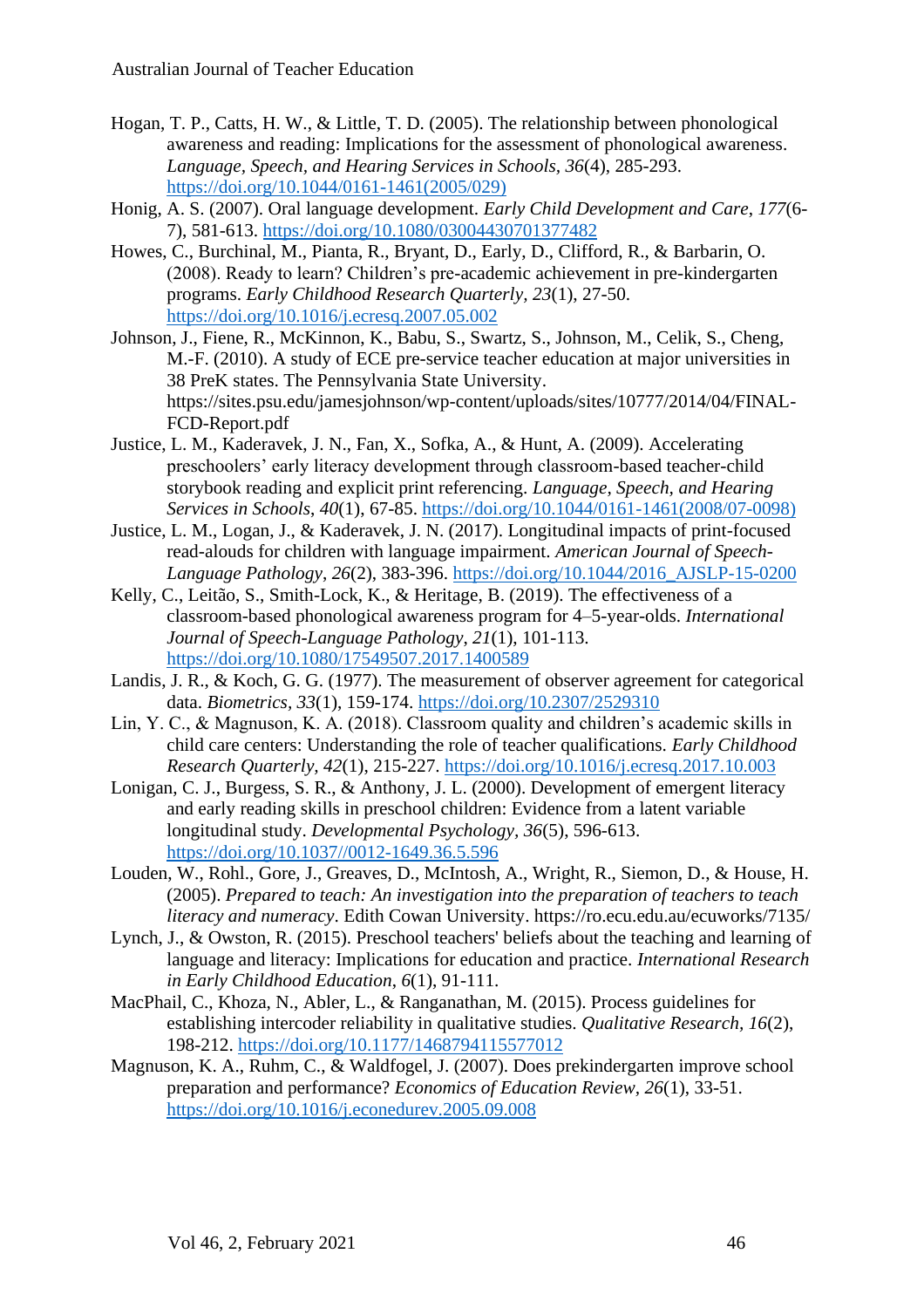- Hogan, T. P., Catts, H. W., & Little, T. D. (2005). The relationship between phonological awareness and reading: Implications for the assessment of phonological awareness. *Language, Speech, and Hearing Services in Schools, 36*(4), 285-293. [https://doi.org/10.1044/0161-1461\(2005/029\)](https://doi.org/10.1044/0161-1461(2005/029))
- Honig, A. S. (2007). Oral language development. *Early Child Development and Care*, *177*(6- 7), 581-613. <https://doi.org/10.1080/03004430701377482>
- Howes, C., Burchinal, M., Pianta, R., Bryant, D., Early, D., Clifford, R., & Barbarin, O. (2008). Ready to learn? Children's pre-academic achievement in pre-kindergarten programs. *Early Childhood Research Quarterly, 23*(1), 27-50. <https://doi.org/10.1016/j.ecresq.2007.05.002>
- Johnson, J., Fiene, R., McKinnon, K., Babu, S., Swartz, S., Johnson, M., Celik, S., Cheng, M.-F. (2010). A study of ECE pre-service teacher education at major universities in 38 PreK states. The Pennsylvania State University. https://sites.psu.edu/jamesjohnson/wp-content/uploads/sites/10777/2014/04/FINAL-FCD-Report.pdf
- Justice, L. M., Kaderavek, J. N., Fan, X., Sofka, A., & Hunt, A. (2009). Accelerating preschoolers' early literacy development through classroom-based teacher-child storybook reading and explicit print referencing. *Language, Speech, and Hearing Services in Schools*, *40*(1), 67-85. [https://doi.org/10.1044/0161-1461\(2008/07-0098\)](https://doi.org/10.1044/0161-1461(2008/07-0098))
- Justice, L. M., Logan, J., & Kaderavek, J. N. (2017). Longitudinal impacts of print-focused read-alouds for children with language impairment. *American Journal of Speech-Language Pathology*, *26*(2), 383-396. [https://doi.org/10.1044/2016\\_AJSLP-15-0200](https://doi.org/10.1044/2016_AJSLP-15-0200)
- Kelly, C., Leitão, S., Smith-Lock, K., & Heritage, B. (2019). The effectiveness of a classroom-based phonological awareness program for 4–5-year-olds. *International Journal of Speech-Language Pathology*, *21*(1), 101-113. <https://doi.org/10.1080/17549507.2017.1400589>
- Landis, J. R., & Koch, G. G. (1977). The measurement of observer agreement for categorical data. *Biometrics, 33*(1), 159-174.<https://doi.org/10.2307/2529310>
- Lin, Y. C., & Magnuson, K. A. (2018). Classroom quality and children's academic skills in child care centers: Understanding the role of teacher qualifications. *Early Childhood Research Quarterly, 42*(1), 215-227.<https://doi.org/10.1016/j.ecresq.2017.10.003>
- Lonigan, C. J., Burgess, S. R., & Anthony, J. L. (2000). Development of emergent literacy and early reading skills in preschool children: Evidence from a latent variable longitudinal study. *Developmental Psychology, 36*(5), 596-613. [https://doi.org/10.1037//0012-1649.36.5.596](https://doi.org/10.1037/0012-1649.36.5.596)
- Louden, W., Rohl., Gore, J., Greaves, D., McIntosh, A., Wright, R., Siemon, D., & House, H. (2005). *Prepared to teach: An investigation into the preparation of teachers to teach literacy and numeracy*. Edith Cowan University. https://ro.ecu.edu.au/ecuworks/7135/
- Lynch, J., & Owston, R. (2015). Preschool teachers' beliefs about the teaching and learning of language and literacy: Implications for education and practice. *International Research in Early Childhood Education*, *6*(1), 91-111.
- MacPhail, C., Khoza, N., Abler, L., & Ranganathan, M. (2015). Process guidelines for establishing intercoder reliability in qualitative studies. *Qualitative Research, 16*(2), 198-212.<https://doi.org/10.1177/1468794115577012>
- Magnuson, K. A., Ruhm, C., & Waldfogel, J. (2007). Does prekindergarten improve school preparation and performance? *Economics of Education Review, 26*(1), 33-51. <https://doi.org/10.1016/j.econedurev.2005.09.008>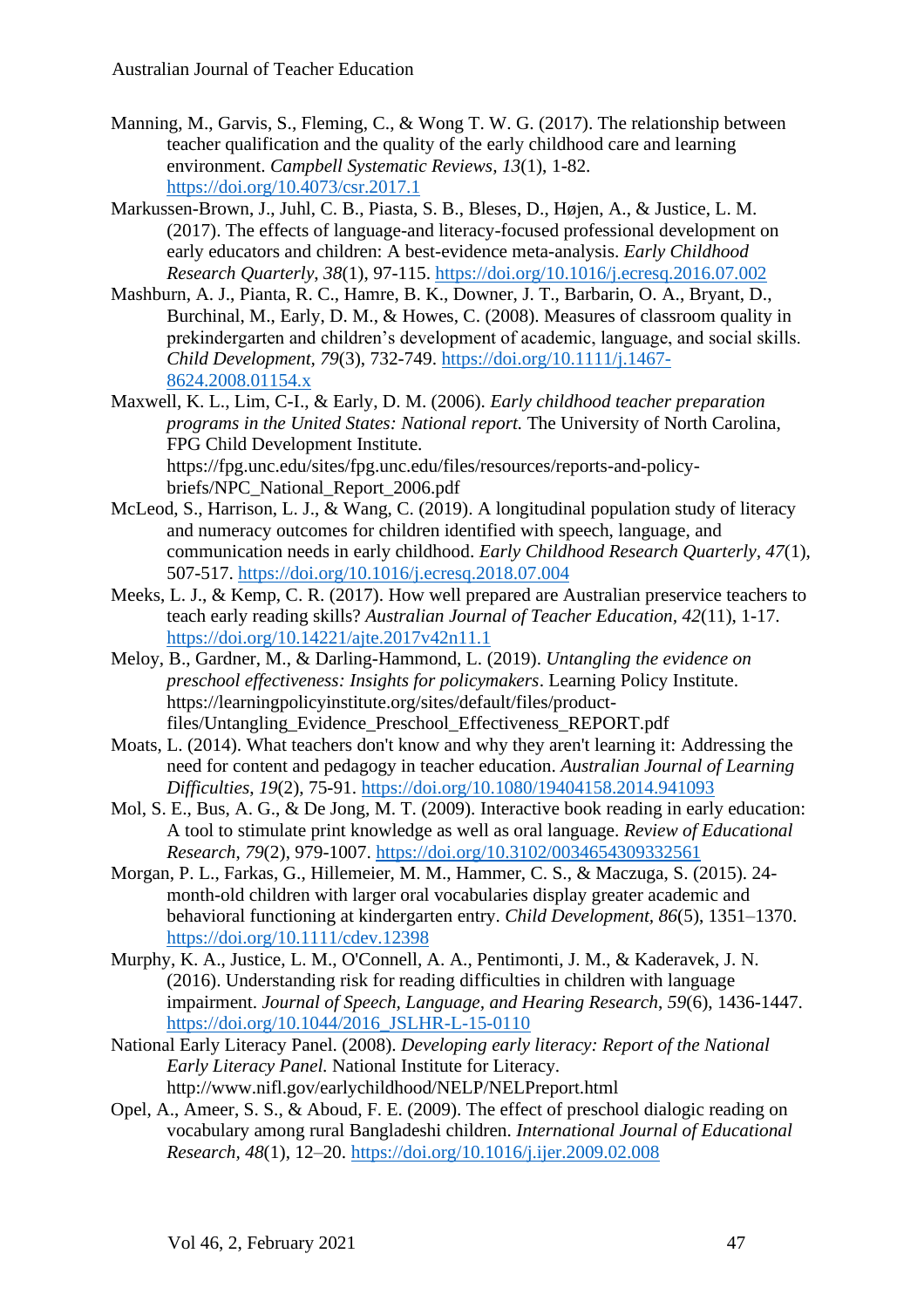- Manning, M., Garvis, S., Fleming, C., & Wong T. W. G. (2017). The relationship between teacher qualification and the quality of the early childhood care and learning environment. *Campbell Systematic Reviews, 13*(1), 1-82. <https://doi.org/10.4073/csr.2017.1>
- Markussen-Brown, J., Juhl, C. B., Piasta, S. B., Bleses, D., Højen, A., & Justice, L. M. (2017). The effects of language-and literacy-focused professional development on early educators and children: A best-evidence meta-analysis. *Early Childhood Research Quarterly*, *38*(1), 97-115.<https://doi.org/10.1016/j.ecresq.2016.07.002>
- Mashburn, A. J., Pianta, R. C., Hamre, B. K., Downer, J. T., Barbarin, O. A., Bryant, D., Burchinal, M., Early, D. M., & Howes, C. (2008). Measures of classroom quality in prekindergarten and children's development of academic, language, and social skills. *Child Development, 79*(3), 732-749. [https://doi.org/10.1111/j.1467-](https://doi.org/10.1111/j.1467-8624.2008.01154.x) [8624.2008.01154.x](https://doi.org/10.1111/j.1467-8624.2008.01154.x)
- Maxwell, K. L., Lim, C-I., & Early, D. M. (2006). *Early childhood teacher preparation programs in the United States: National report.* The University of North Carolina, FPG Child Development Institute. https://fpg.unc.edu/sites/fpg.unc.edu/files/resources/reports-and-policybriefs/NPC\_National\_Report\_2006.pdf
- McLeod, S., Harrison, L. J., & Wang, C. (2019). A longitudinal population study of literacy and numeracy outcomes for children identified with speech, language, and communication needs in early childhood. *Early Childhood Research Quarterly, 47*(1), 507-517.<https://doi.org/10.1016/j.ecresq.2018.07.004>
- Meeks, L. J., & Kemp, C. R. (2017). How well prepared are Australian preservice teachers to teach early reading skills? *Australian Journal of Teacher Education, 42*(11), 1-17. <https://doi.org/10.14221/ajte.2017v42n11.1>
- Meloy, B., Gardner, M., & Darling-Hammond, L. (2019). *Untangling the evidence on preschool effectiveness: Insights for policymakers*. Learning Policy Institute. https://learningpolicyinstitute.org/sites/default/files/productfiles/Untangling\_Evidence\_Preschool\_Effectiveness\_REPORT.pdf
- Moats, L. (2014). What teachers don't know and why they aren't learning it: Addressing the need for content and pedagogy in teacher education. *Australian Journal of Learning Difficulties*, *19*(2), 75-91.<https://doi.org/10.1080/19404158.2014.941093>
- Mol, S. E., Bus, A. G., & De Jong, M. T. (2009). Interactive book reading in early education: A tool to stimulate print knowledge as well as oral language. *Review of Educational Research*, *79*(2), 979-1007.<https://doi.org/10.3102/0034654309332561>
- Morgan, P. L., Farkas, G., Hillemeier, M. M., Hammer, C. S., & Maczuga, S. (2015). 24 month-old children with larger oral vocabularies display greater academic and behavioral functioning at kindergarten entry. *Child Development, 86*(5), 1351–1370. <https://doi.org/10.1111/cdev.12398>
- Murphy, K. A., Justice, L. M., O'Connell, A. A., Pentimonti, J. M., & Kaderavek, J. N. (2016). Understanding risk for reading difficulties in children with language impairment. *Journal of Speech, Language, and Hearing Research*, *59*(6), 1436-1447. [https://doi.org/10.1044/2016\\_JSLHR-L-15-0110](https://doi.org/10.1044/2016_JSLHR-L-15-0110)
- National Early Literacy Panel. (2008). *Developing early literacy: Report of the National Early Literacy Panel.* National Institute for Literacy. http://www.nifl.gov/earlychildhood/NELP/NELPreport.html
- Opel, A., Ameer, S. S., & Aboud, F. E. (2009). The effect of preschool dialogic reading on vocabulary among rural Bangladeshi children. *International Journal of Educational Research, 48*(1), 12–20.<https://doi.org/10.1016/j.ijer.2009.02.008>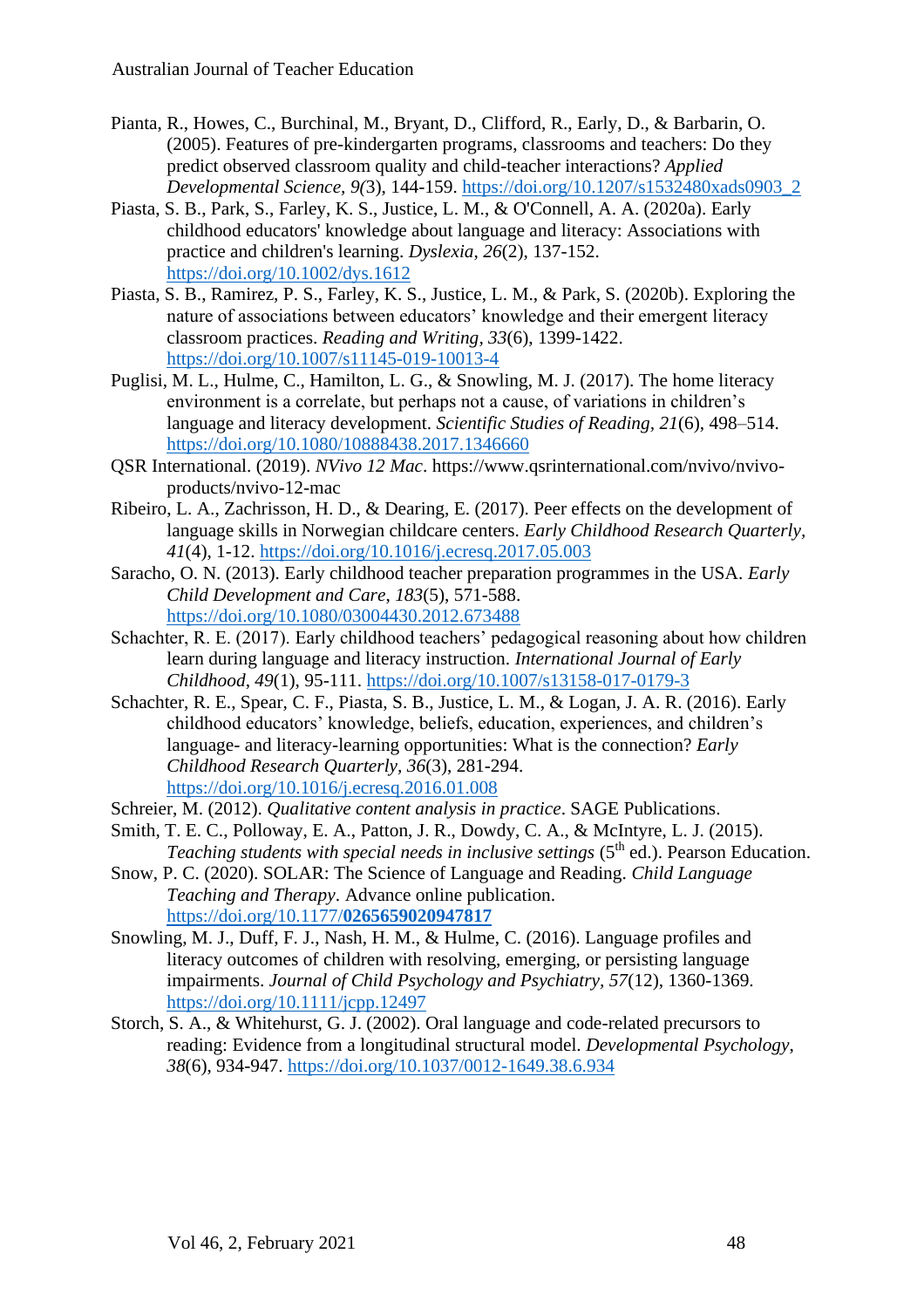- Pianta, R., Howes, C., Burchinal, M., Bryant, D., Clifford, R., Early, D., & Barbarin, O. (2005). Features of pre-kindergarten programs, classrooms and teachers: Do they predict observed classroom quality and child-teacher interactions? *Applied Developmental Science, 9(*3), 144-159. [https://doi.org/10.1207/s1532480xads0903\\_2](https://doi.org/10.1207/s1532480xads0903_2)
- Piasta, S. B., Park, S., Farley, K. S., Justice, L. M., & O'Connell, A. A. (2020a). Early childhood educators' knowledge about language and literacy: Associations with practice and children's learning. *Dyslexia*, *26*(2), 137-152. <https://doi.org/10.1002/dys.1612>
- Piasta, S. B., Ramirez, P. S., Farley, K. S., Justice, L. M., & Park, S. (2020b). Exploring the nature of associations between educators' knowledge and their emergent literacy classroom practices. *Reading and Writing, 33*(6), 1399-1422. <https://doi.org/10.1007/s11145-019-10013-4>
- Puglisi, M. L., Hulme, C., Hamilton, L. G., & Snowling, M. J. (2017). The home literacy environment is a correlate, but perhaps not a cause, of variations in children's language and literacy development. *Scientific Studies of Reading, 21*(6), 498–514. <https://doi.org/10.1080/10888438.2017.1346660>
- QSR International. (2019). *NVivo 12 Mac*. https://www.qsrinternational.com/nvivo/nvivoproducts/nvivo-12-mac
- Ribeiro, L. A., Zachrisson, H. D., & Dearing, E. (2017). Peer effects on the development of language skills in Norwegian childcare centers. *Early Childhood Research Quarterly, 41*(4), 1-12.<https://doi.org/10.1016/j.ecresq.2017.05.003>
- Saracho, O. N. (2013). Early childhood teacher preparation programmes in the USA. *Early Child Development and Care*, *183*(5), 571-588. <https://doi.org/10.1080/03004430.2012.673488>
- Schachter, R. E. (2017). Early childhood teachers' pedagogical reasoning about how children learn during language and literacy instruction. *International Journal of Early Childhood*, *49*(1), 95-111.<https://doi.org/10.1007/s13158-017-0179-3>
- Schachter, R. E., Spear, C. F., Piasta, S. B., Justice, L. M., & Logan, J. A. R. (2016). Early childhood educators' knowledge, beliefs, education, experiences, and children's language- and literacy-learning opportunities: What is the connection? *Early Childhood Research Quarterly, 36*(3), 281-294. <https://doi.org/10.1016/j.ecresq.2016.01.008>
- Schreier, M. (2012). *Qualitative content analysis in practice*. SAGE Publications.
- Smith, T. E. C., Polloway, E. A., Patton, J. R., Dowdy, C. A., & McIntyre, L. J. (2015). Teaching students with special needs in inclusive settings (5<sup>th</sup> ed.). Pearson Education.
- Snow, P. C. (2020). SOLAR: The Science of Language and Reading. *Child Language Teaching and Therapy*. Advance online publication. [https://doi.org/10.1177/](https://doi.org/10.1177/0265659020947817)**0265659020947817**
- Snowling, M. J., Duff, F. J., Nash, H. M., & Hulme, C. (2016). Language profiles and literacy outcomes of children with resolving, emerging, or persisting language impairments. *Journal of Child Psychology and Psychiatry, 57*(12), 1360-1369. <https://doi.org/10.1111/jcpp.12497>
- Storch, S. A., & Whitehurst, G. J. (2002). Oral language and code-related precursors to reading: Evidence from a longitudinal structural model. *Developmental Psychology*, *38*(6), 934-947.<https://doi.org/10.1037/0012-1649.38.6.934>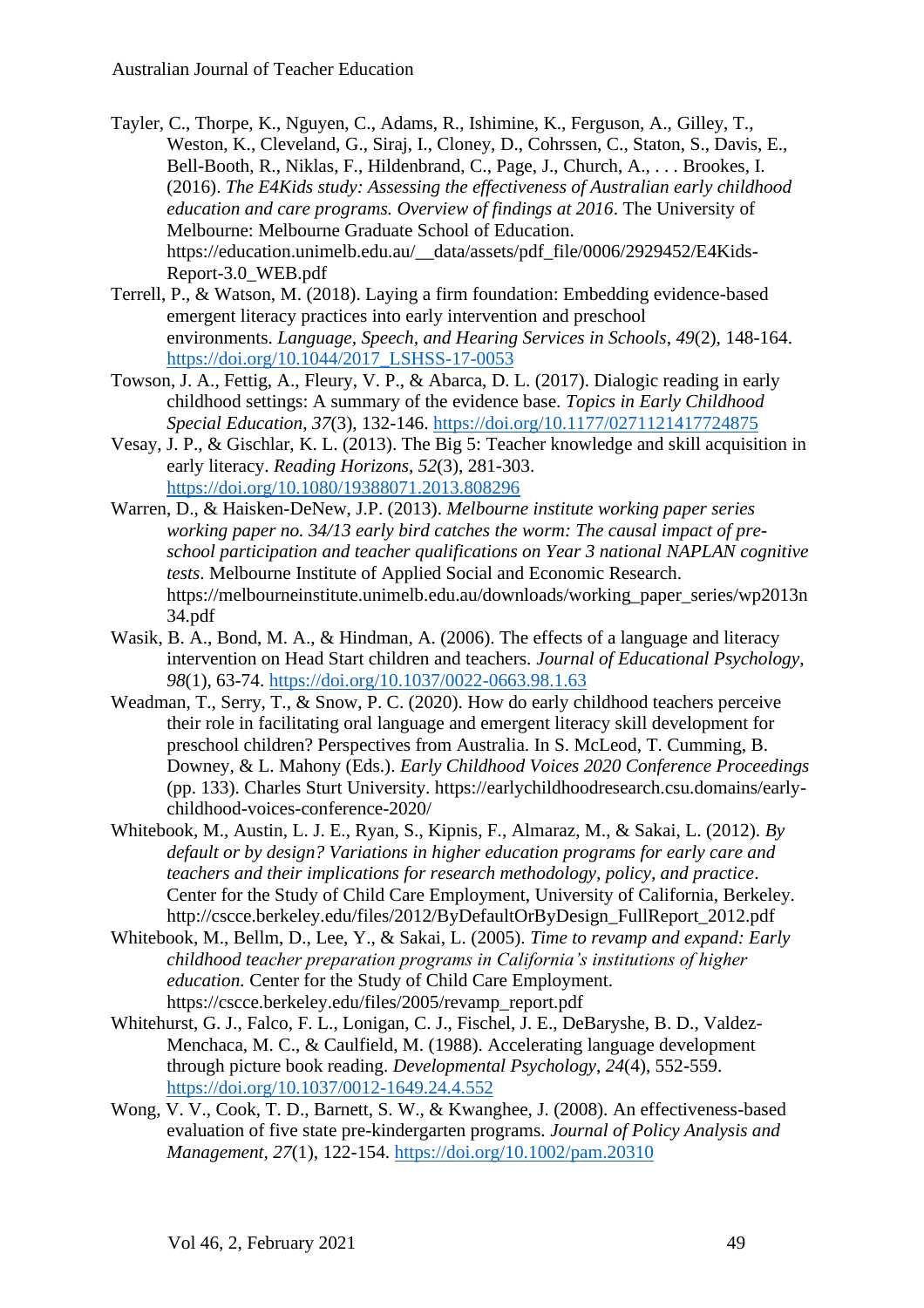- Tayler, C., Thorpe, K., Nguyen, C., Adams, R., Ishimine, K., Ferguson, A., Gilley, T., Weston, K., Cleveland, G., Siraj, I., Cloney, D., Cohrssen, C., Staton, S., Davis, E., Bell-Booth, R., Niklas, F., Hildenbrand, C., Page, J., Church, A., . . . Brookes, I. (2016). *The E4Kids study: Assessing the effectiveness of Australian early childhood education and care programs. Overview of findings at 2016*. The University of Melbourne: Melbourne Graduate School of Education. https://education.unimelb.edu.au/\_\_data/assets/pdf\_file/0006/2929452/E4Kids-Report-3.0\_WEB.pdf
- Terrell, P., & Watson, M. (2018). Laying a firm foundation: Embedding evidence-based emergent literacy practices into early intervention and preschool environments. *Language, Speech, and Hearing Services in Schools*, *49*(2), 148-164. [https://doi.org/10.1044/2017\\_LSHSS-17-0053](https://doi.org/10.1044/2017_LSHSS-17-0053)
- Towson, J. A., Fettig, A., Fleury, V. P., & Abarca, D. L. (2017). Dialogic reading in early childhood settings: A summary of the evidence base. *Topics in Early Childhood Special Education*, *37*(3), 132-146.<https://doi.org/10.1177/0271121417724875>
- Vesay, J. P., & Gischlar, K. L. (2013). The Big 5: Teacher knowledge and skill acquisition in early literacy. *Reading Horizons, 52*(3), 281-303. <https://doi.org/10.1080/19388071.2013.808296>
- Warren, D., & Haisken-DeNew, J.P. (2013). *Melbourne institute working paper series working paper no. 34/13 early bird catches the worm: The causal impact of preschool participation and teacher qualifications on Year 3 national NAPLAN cognitive tests*. Melbourne Institute of Applied Social and Economic Research. https://melbourneinstitute.unimelb.edu.au/downloads/working\_paper\_series/wp2013n 34.pdf
- Wasik, B. A., Bond, M. A., & Hindman, A. (2006). The effects of a language and literacy intervention on Head Start children and teachers. *Journal of Educational Psychology*, *98*(1), 63-74.<https://doi.org/10.1037/0022-0663.98.1.63>
- Weadman, T., Serry, T., & Snow, P. C. (2020). How do early childhood teachers perceive their role in facilitating oral language and emergent literacy skill development for preschool children? Perspectives from Australia. In S. McLeod, T. Cumming, B. Downey, & L. Mahony (Eds.). *Early Childhood Voices 2020 Conference Proceedings* (pp. 133). Charles Sturt University. https://earlychildhoodresearch.csu.domains/earlychildhood-voices-conference-2020/
- Whitebook, M., Austin, L. J. E., Ryan, S., Kipnis, F., Almaraz, M., & Sakai, L. (2012). *By default or by design? Variations in higher education programs for early care and teachers and their implications for research methodology, policy, and practice*. Center for the Study of Child Care Employment, University of California, Berkeley. http://cscce.berkeley.edu/files/2012/ByDefaultOrByDesign\_FullReport\_2012.pdf
- Whitebook, M., Bellm, D., Lee, Y., & Sakai, L. (2005). *Time to revamp and expand: Early childhood teacher preparation programs in California's institutions of higher education.* Center for the Study of Child Care Employment. https://cscce.berkeley.edu/files/2005/revamp\_report.pdf
- Whitehurst, G. J., Falco, F. L., Lonigan, C. J., Fischel, J. E., DeBaryshe, B. D., Valdez-Menchaca, M. C., & Caulfield, M. (1988). Accelerating language development through picture book reading. *Developmental Psychology*, *24*(4), 552-559. <https://doi.org/10.1037/0012-1649.24.4.552>
- Wong, V. V., Cook, T. D., Barnett, S. W., & Kwanghee, J. (2008). An effectiveness-based evaluation of five state pre-kindergarten programs. *Journal of Policy Analysis and Management, 27*(1), 122-154.<https://doi.org/10.1002/pam.20310>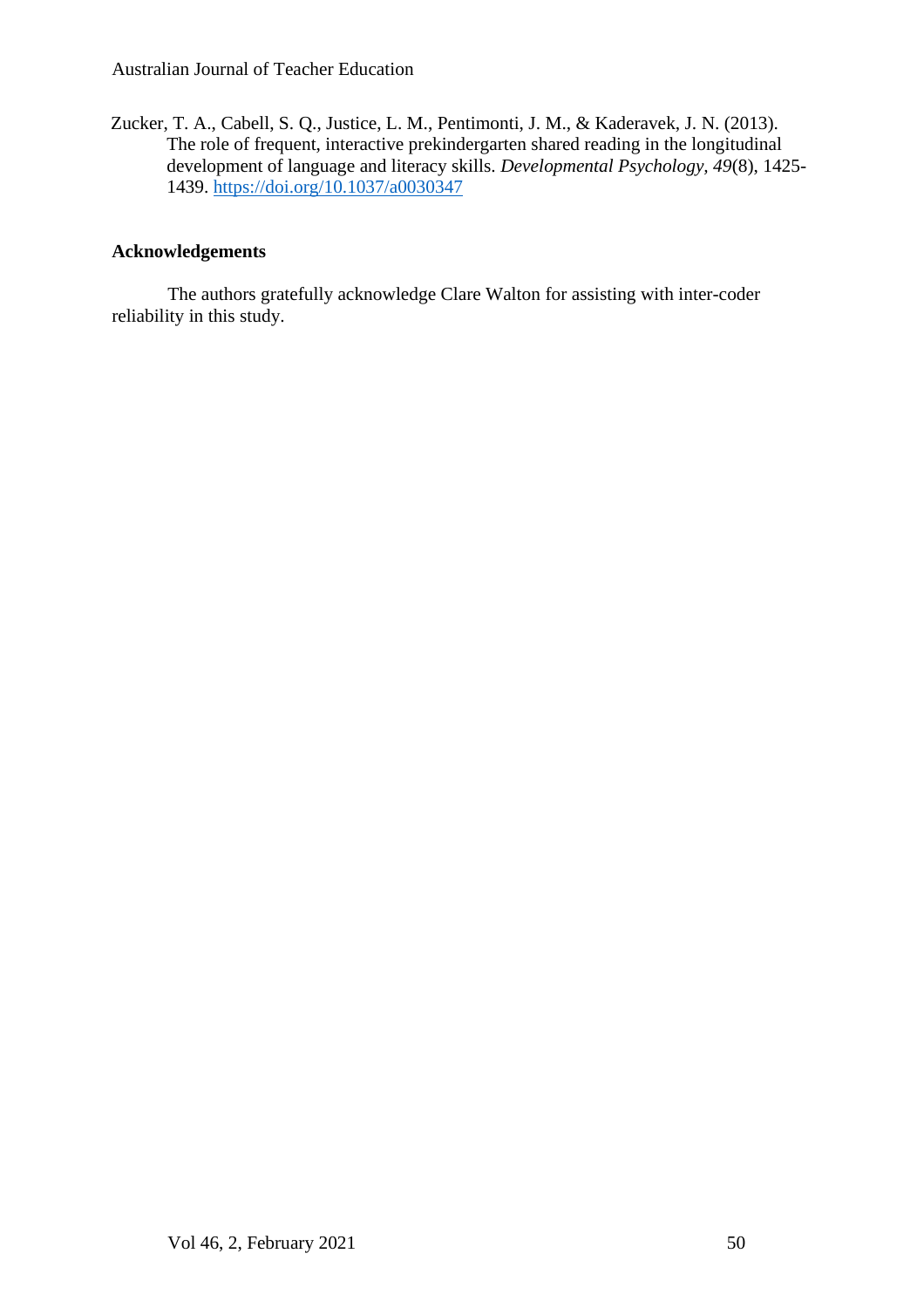Zucker, T. A., Cabell, S. Q., Justice, L. M., Pentimonti, J. M., & Kaderavek, J. N. (2013). The role of frequent, interactive prekindergarten shared reading in the longitudinal development of language and literacy skills. *Developmental Psychology, 49*(8), 1425- 1439.<https://doi.org/10.1037/a0030347>

## **Acknowledgements**

The authors gratefully acknowledge Clare Walton for assisting with inter-coder reliability in this study.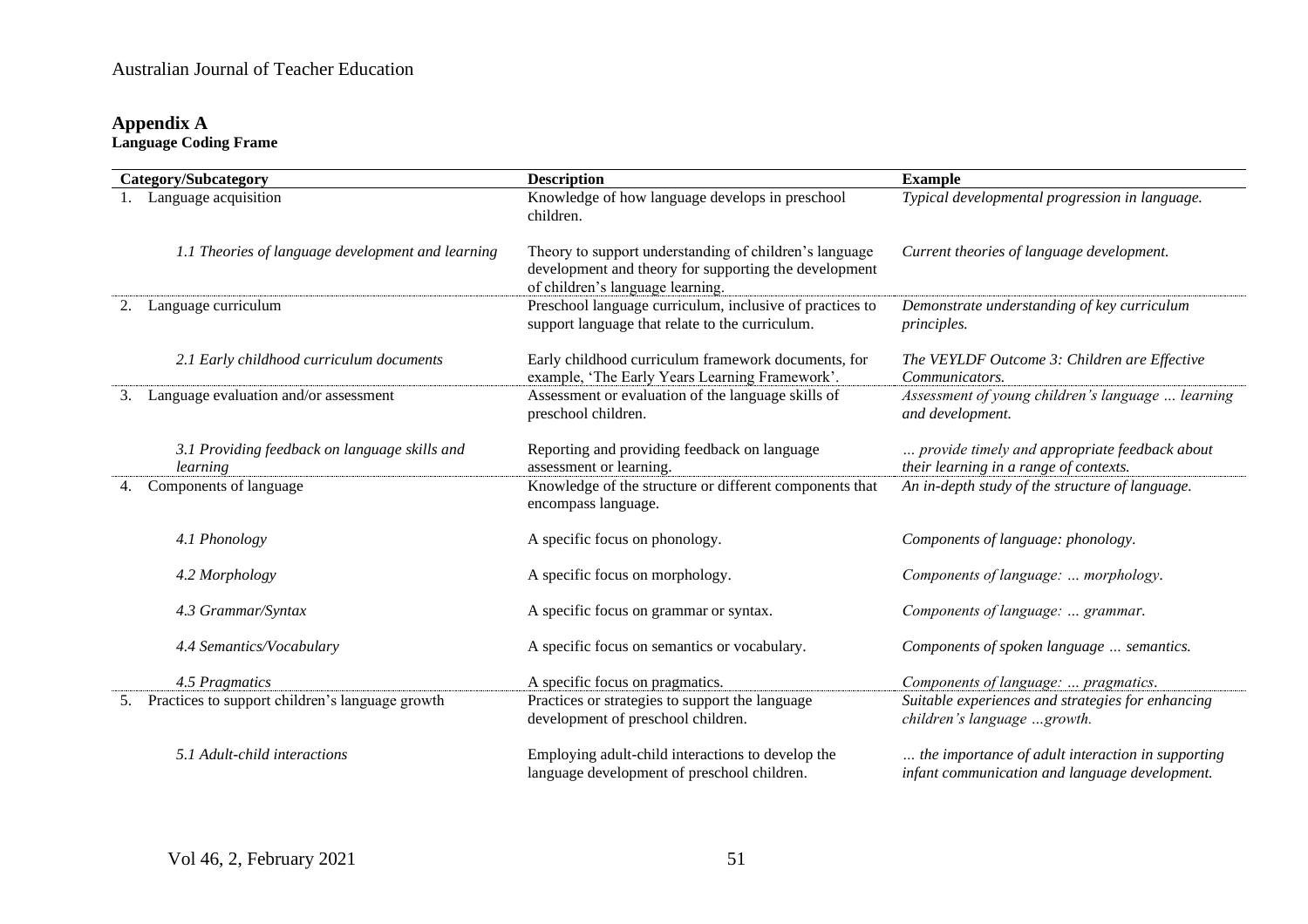## **Appendix A Language Coding Frame**

| <b>Category/Subcategory</b> |                                                           | <b>Description</b>                                                                                                                                  | <b>Example</b>                                                                                      |
|-----------------------------|-----------------------------------------------------------|-----------------------------------------------------------------------------------------------------------------------------------------------------|-----------------------------------------------------------------------------------------------------|
|                             | Language acquisition                                      | Knowledge of how language develops in preschool<br>children.                                                                                        | Typical developmental progression in language.                                                      |
|                             | 1.1 Theories of language development and learning         | Theory to support understanding of children's language<br>development and theory for supporting the development<br>of children's language learning. | Current theories of language development.                                                           |
| 2.                          | Language curriculum                                       | Preschool language curriculum, inclusive of practices to<br>support language that relate to the curriculum.                                         | Demonstrate understanding of key curriculum<br><i>principles.</i>                                   |
|                             | 2.1 Early childhood curriculum documents                  | Early childhood curriculum framework documents, for<br>example, 'The Early Years Learning Framework'.                                               | The VEYLDF Outcome 3: Children are Effective<br>Communicators.                                      |
| 3.                          | Language evaluation and/or assessment                     | Assessment or evaluation of the language skills of<br>preschool children.                                                                           | Assessment of young children's language  learning<br>and development.                               |
|                             | 3.1 Providing feedback on language skills and<br>learning | Reporting and providing feedback on language<br>assessment or learning.                                                                             | provide timely and appropriate feedback about<br>their learning in a range of contexts.             |
|                             | Components of language                                    | Knowledge of the structure or different components that<br>encompass language.                                                                      | An in-depth study of the structure of language.                                                     |
|                             | 4.1 Phonology                                             | A specific focus on phonology.                                                                                                                      | Components of language: phonology.                                                                  |
|                             | 4.2 Morphology                                            | A specific focus on morphology.                                                                                                                     | Components of language:  morphology.                                                                |
|                             | 4.3 Grammar/Syntax                                        | A specific focus on grammar or syntax.                                                                                                              | Components of language:  grammar.                                                                   |
|                             | 4.4 Semantics/Vocabulary                                  | A specific focus on semantics or vocabulary.                                                                                                        | Components of spoken language  semantics.                                                           |
|                             | 4.5 Pragmatics                                            | A specific focus on pragmatics.                                                                                                                     | Components of language:  pragmatics.                                                                |
| 5.                          | Practices to support children's language growth           | Practices or strategies to support the language<br>development of preschool children.                                                               | Suitable experiences and strategies for enhancing<br>children's language growth.                    |
|                             | 5.1 Adult-child interactions                              | Employing adult-child interactions to develop the<br>language development of preschool children.                                                    | the importance of adult interaction in supporting<br>infant communication and language development. |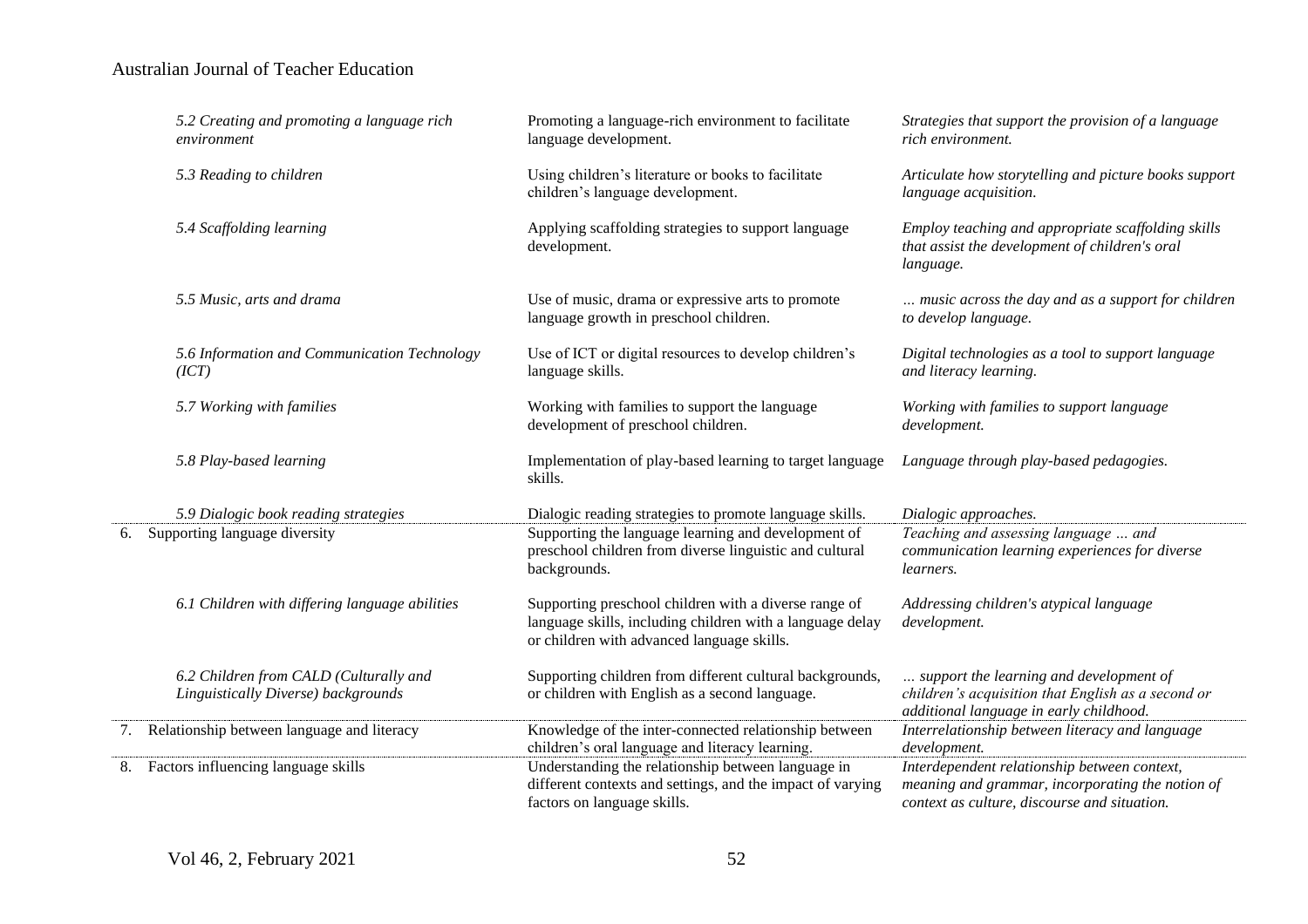|    | 5.2 Creating and promoting a language rich<br>environment                     | Promoting a language-rich environment to facilitate<br>language development.                                                                                     | Strategies that support the provision of a language<br>rich environment.                                                                         |
|----|-------------------------------------------------------------------------------|------------------------------------------------------------------------------------------------------------------------------------------------------------------|--------------------------------------------------------------------------------------------------------------------------------------------------|
|    | 5.3 Reading to children                                                       | Using children's literature or books to facilitate<br>children's language development.                                                                           | Articulate how storytelling and picture books support<br>language acquisition.                                                                   |
|    | 5.4 Scaffolding learning                                                      | Applying scaffolding strategies to support language<br>development.                                                                                              | Employ teaching and appropriate scaffolding skills<br>that assist the development of children's oral<br>language.                                |
|    | 5.5 Music, arts and drama                                                     | Use of music, drama or expressive arts to promote<br>language growth in preschool children.                                                                      | music across the day and as a support for children<br>to develop language.                                                                       |
|    | 5.6 Information and Communication Technology<br>(ICT)                         | Use of ICT or digital resources to develop children's<br>language skills.                                                                                        | Digital technologies as a tool to support language<br>and literacy learning.                                                                     |
|    | 5.7 Working with families                                                     | Working with families to support the language<br>development of preschool children.                                                                              | Working with families to support language<br>development.                                                                                        |
|    | 5.8 Play-based learning                                                       | Implementation of play-based learning to target language<br>skills.                                                                                              | Language through play-based pedagogies.                                                                                                          |
|    | 5.9 Dialogic book reading strategies                                          | Dialogic reading strategies to promote language skills.                                                                                                          | Dialogic approaches.                                                                                                                             |
| 6. | Supporting language diversity                                                 | Supporting the language learning and development of<br>preschool children from diverse linguistic and cultural<br>backgrounds.                                   | Teaching and assessing language  and<br>communication learning experiences for diverse<br>learners.                                              |
|    | 6.1 Children with differing language abilities                                | Supporting preschool children with a diverse range of<br>language skills, including children with a language delay<br>or children with advanced language skills. | Addressing children's atypical language<br>development.                                                                                          |
|    | 6.2 Children from CALD (Culturally and<br>Linguistically Diverse) backgrounds | Supporting children from different cultural backgrounds,<br>or children with English as a second language.                                                       | support the learning and development of<br>children's acquisition that English as a second or<br>additional language in early childhood.         |
|    | 7. Relationship between language and literacy                                 | Knowledge of the inter-connected relationship between<br>children's oral language and literacy learning.                                                         | Interrelationship between literacy and language<br>development.                                                                                  |
| 8. | Factors influencing language skills                                           | Understanding the relationship between language in<br>different contexts and settings, and the impact of varying<br>factors on language skills.                  | Interdependent relationship between context,<br>meaning and grammar, incorporating the notion of<br>context as culture, discourse and situation. |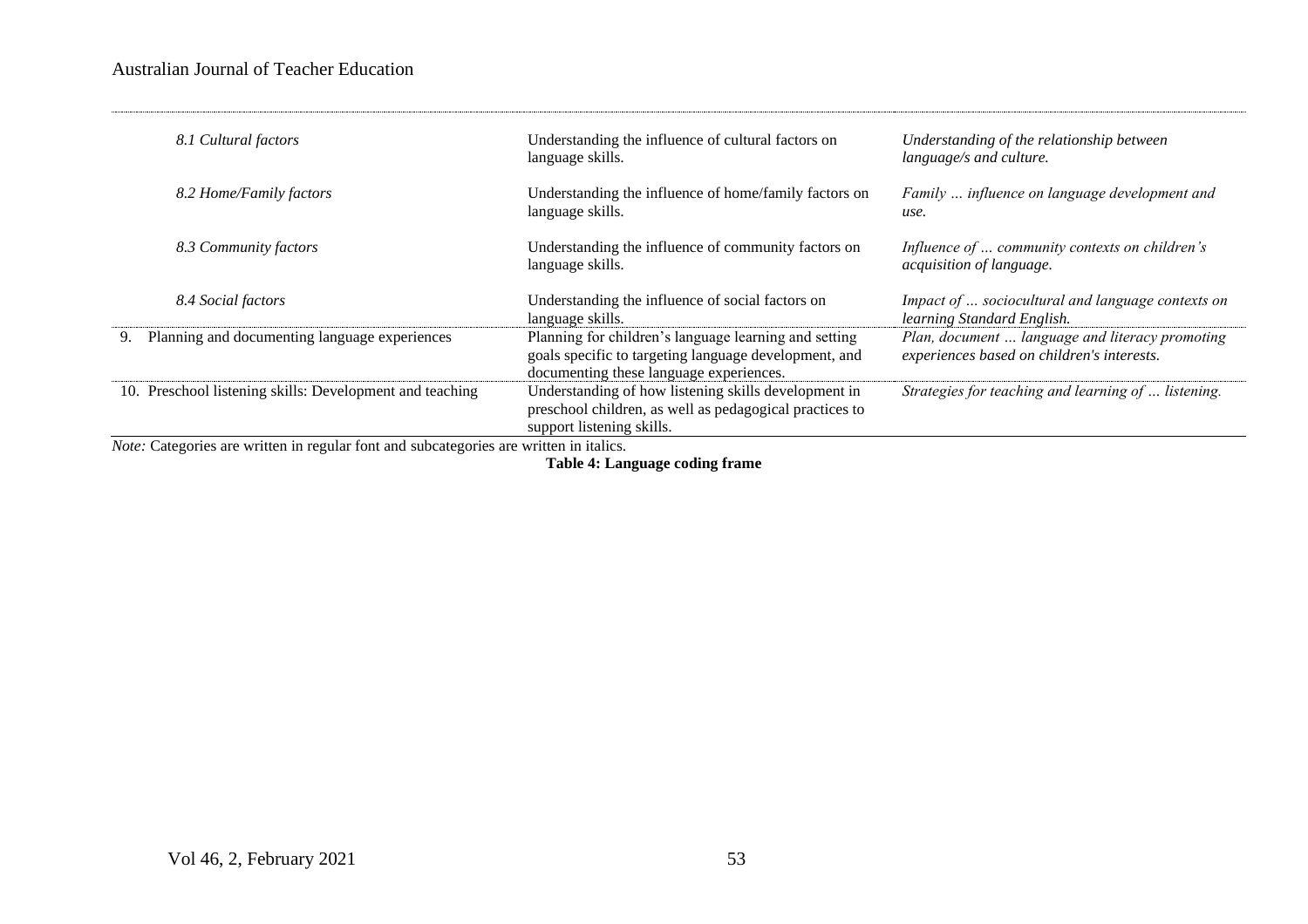| 8.1 Cultural factors                                                                                                                                                                                                                                                                                                                   | Understanding the influence of cultural factors on<br>language skills.                                                                                    | Understanding of the relationship between<br>language/s and culture.                          |
|----------------------------------------------------------------------------------------------------------------------------------------------------------------------------------------------------------------------------------------------------------------------------------------------------------------------------------------|-----------------------------------------------------------------------------------------------------------------------------------------------------------|-----------------------------------------------------------------------------------------------|
| 8.2 Home/Family factors                                                                                                                                                                                                                                                                                                                | Understanding the influence of home/family factors on<br>language skills.                                                                                 | Family  influence on language development and<br>use.                                         |
| 8.3 Community factors                                                                                                                                                                                                                                                                                                                  | Understanding the influence of community factors on<br>language skills.                                                                                   | Influence of  community contexts on children's<br>acquisition of language.                    |
| 8.4 Social factors                                                                                                                                                                                                                                                                                                                     | Understanding the influence of social factors on<br>language skills.                                                                                      | Impact of  sociocultural and language contexts on<br>learning Standard English.               |
| Planning and documenting language experiences<br>9.                                                                                                                                                                                                                                                                                    | Planning for children's language learning and setting<br>goals specific to targeting language development, and<br>documenting these language experiences. | Plan, document  language and literacy promoting<br>experiences based on children's interests. |
| 10. Preschool listening skills: Development and teaching<br>$\mathbf{r}$ and $\mathbf{r}$ are the set of the set of the set of the set of the set of the set of the set of the set of the set of the set of the set of the set of the set of the set of the set of the set of the set of the set<br>$\mathbf{v}$ $\alpha$ $\mathbf{v}$ | Understanding of how listening skills development in<br>preschool children, as well as pedagogical practices to<br>support listening skills.              | Strategies for teaching and learning of  listening.                                           |

*Note:* Categories are written in regular font and subcategories are written in italics.

**Table 4: Language coding frame**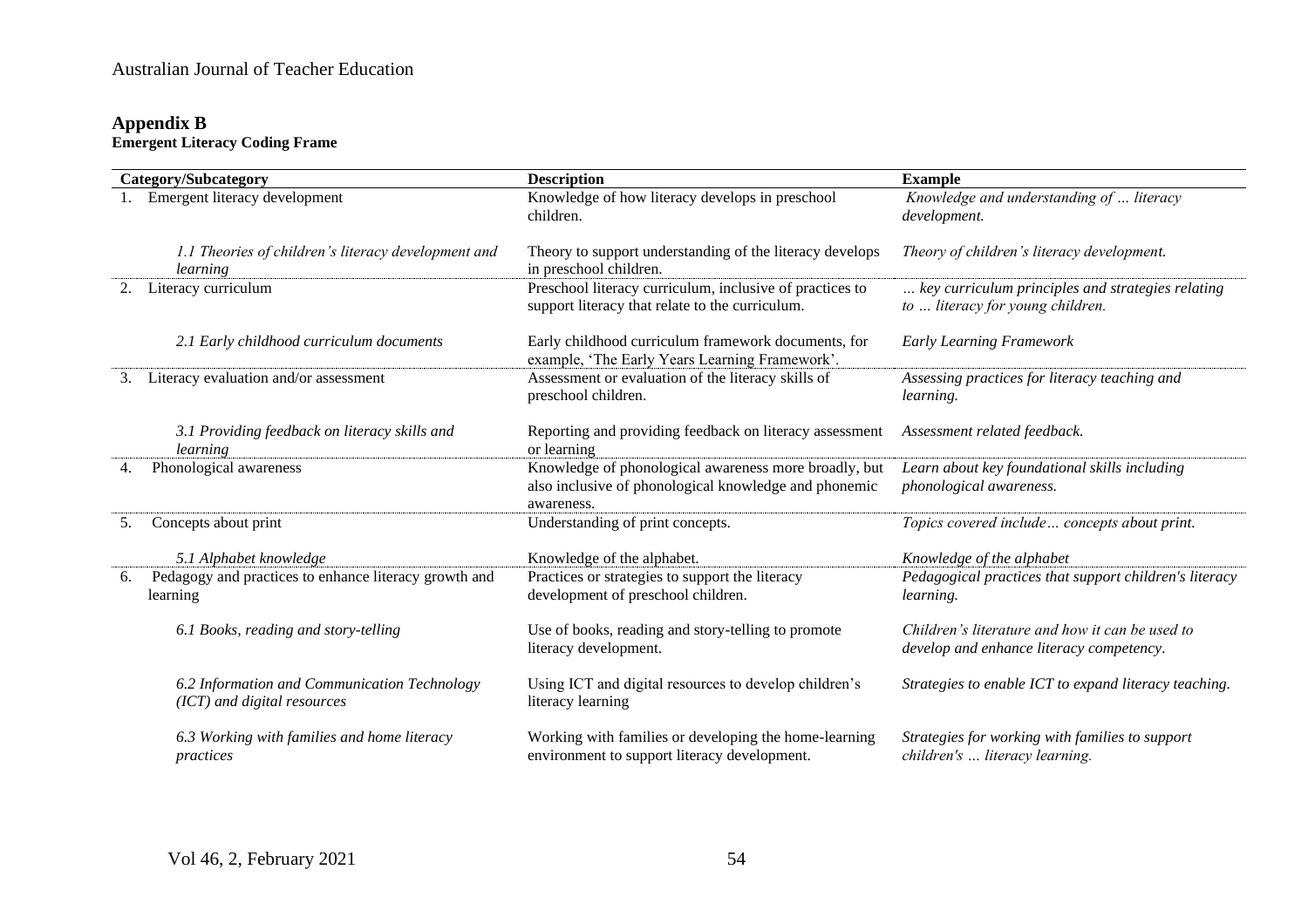## **Appendix B Emergent Literacy Coding Frame**

| Category/Subcategory |                                                                             | <b>Description</b>                                                                                                           | <b>Example</b>                                                                              |
|----------------------|-----------------------------------------------------------------------------|------------------------------------------------------------------------------------------------------------------------------|---------------------------------------------------------------------------------------------|
|                      | Emergent literacy development                                               | Knowledge of how literacy develops in preschool<br>children.                                                                 | Knowledge and understanding of  literacy<br>development.                                    |
|                      | 1.1 Theories of children's literacy development and<br>learning             | Theory to support understanding of the literacy develops<br>in preschool children.                                           | Theory of children's literacy development.                                                  |
| 2.                   | Literacy curriculum                                                         | Preschool literacy curriculum, inclusive of practices to<br>support literacy that relate to the curriculum.                  | key curriculum principles and strategies relating<br>to  literacy for young children.       |
|                      | 2.1 Early childhood curriculum documents                                    | Early childhood curriculum framework documents, for<br>example, 'The Early Years Learning Framework'.                        | <b>Early Learning Framework</b>                                                             |
| 3.                   | Literacy evaluation and/or assessment                                       | Assessment or evaluation of the literacy skills of<br>preschool children.                                                    | Assessing practices for literacy teaching and<br><i>learning.</i>                           |
|                      | 3.1 Providing feedback on literacy skills and<br>learning                   | Reporting and providing feedback on literacy assessment<br>or learning                                                       | Assessment related feedback.                                                                |
|                      | Phonological awareness                                                      | Knowledge of phonological awareness more broadly, but<br>also inclusive of phonological knowledge and phonemic<br>awareness. | Learn about key foundational skills including<br>phonological awareness.                    |
| 5.                   | Concepts about print                                                        | Understanding of print concepts.                                                                                             | Topics covered include concepts about print.                                                |
|                      | 5.1 Alphabet knowledge                                                      | Knowledge of the alphabet.                                                                                                   | Knowledge of the alphabet                                                                   |
| 6.                   | Pedagogy and practices to enhance literacy growth and<br>learning           | Practices or strategies to support the literacy<br>development of preschool children.                                        | Pedagogical practices that support children's literacy<br><i>learning.</i>                  |
|                      | 6.1 Books, reading and story-telling                                        | Use of books, reading and story-telling to promote<br>literacy development.                                                  | Children's literature and how it can be used to<br>develop and enhance literacy competency. |
|                      | 6.2 Information and Communication Technology<br>(ICT) and digital resources | Using ICT and digital resources to develop children's<br>literacy learning                                                   | Strategies to enable ICT to expand literacy teaching.                                       |
|                      | 6.3 Working with families and home literacy<br>practices                    | Working with families or developing the home-learning<br>environment to support literacy development.                        | Strategies for working with families to support<br>children's  literacy learning.           |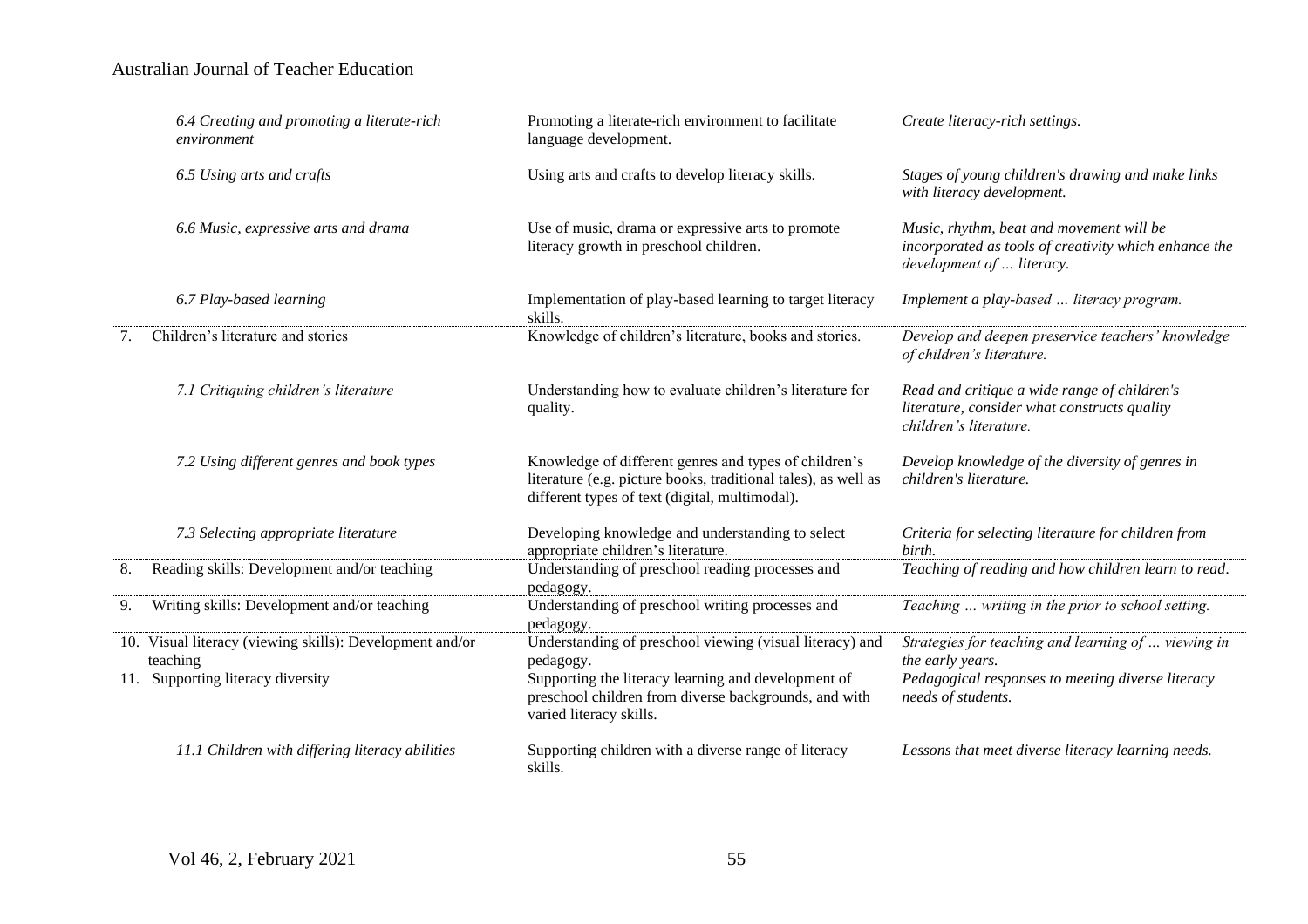|    | 6.4 Creating and promoting a literate-rich<br>environment            | Promoting a literate-rich environment to facilitate<br>language development.                                                                                              | Create literacy-rich settings.                                                                                                 |
|----|----------------------------------------------------------------------|---------------------------------------------------------------------------------------------------------------------------------------------------------------------------|--------------------------------------------------------------------------------------------------------------------------------|
|    | 6.5 Using arts and crafts                                            | Using arts and crafts to develop literacy skills.                                                                                                                         | Stages of young children's drawing and make links<br>with literacy development.                                                |
|    | 6.6 Music, expressive arts and drama                                 | Use of music, drama or expressive arts to promote<br>literacy growth in preschool children.                                                                               | Music, rhythm, beat and movement will be<br>incorporated as tools of creativity which enhance the<br>development of  literacy. |
|    | 6.7 Play-based learning                                              | Implementation of play-based learning to target literacy<br>skills.                                                                                                       | Implement a play-based  literacy program.                                                                                      |
| 7. | Children's literature and stories                                    | Knowledge of children's literature, books and stories.                                                                                                                    | Develop and deepen preservice teachers' knowledge<br>of children's literature.                                                 |
|    | 7.1 Critiquing children's literature                                 | Understanding how to evaluate children's literature for<br>quality.                                                                                                       | Read and critique a wide range of children's<br>literature, consider what constructs quality<br>children's literature.         |
|    | 7.2 Using different genres and book types                            | Knowledge of different genres and types of children's<br>literature (e.g. picture books, traditional tales), as well as<br>different types of text (digital, multimodal). | Develop knowledge of the diversity of genres in<br>children's literature.                                                      |
|    | 7.3 Selecting appropriate literature                                 | Developing knowledge and understanding to select<br>appropriate children's literature.                                                                                    | Criteria for selecting literature for children from<br>birth.                                                                  |
| 8. | Reading skills: Development and/or teaching                          | Understanding of preschool reading processes and<br>pedagogy.                                                                                                             | Teaching of reading and how children learn to read.                                                                            |
| 9. | Writing skills: Development and/or teaching                          | Understanding of preschool writing processes and<br>pedagogy.                                                                                                             | Teaching  writing in the prior to school setting.                                                                              |
|    | 10. Visual literacy (viewing skills): Development and/or<br>teaching | Understanding of preschool viewing (visual literacy) and<br>pedagogy.                                                                                                     | Strategies for teaching and learning of  viewing in<br>the early years.                                                        |
|    | 11. Supporting literacy diversity                                    | Supporting the literacy learning and development of<br>preschool children from diverse backgrounds, and with<br>varied literacy skills.                                   | Pedagogical responses to meeting diverse literacy<br>needs of students.                                                        |
|    | 11.1 Children with differing literacy abilities                      | Supporting children with a diverse range of literacy<br>skills.                                                                                                           | Lessons that meet diverse literacy learning needs.                                                                             |